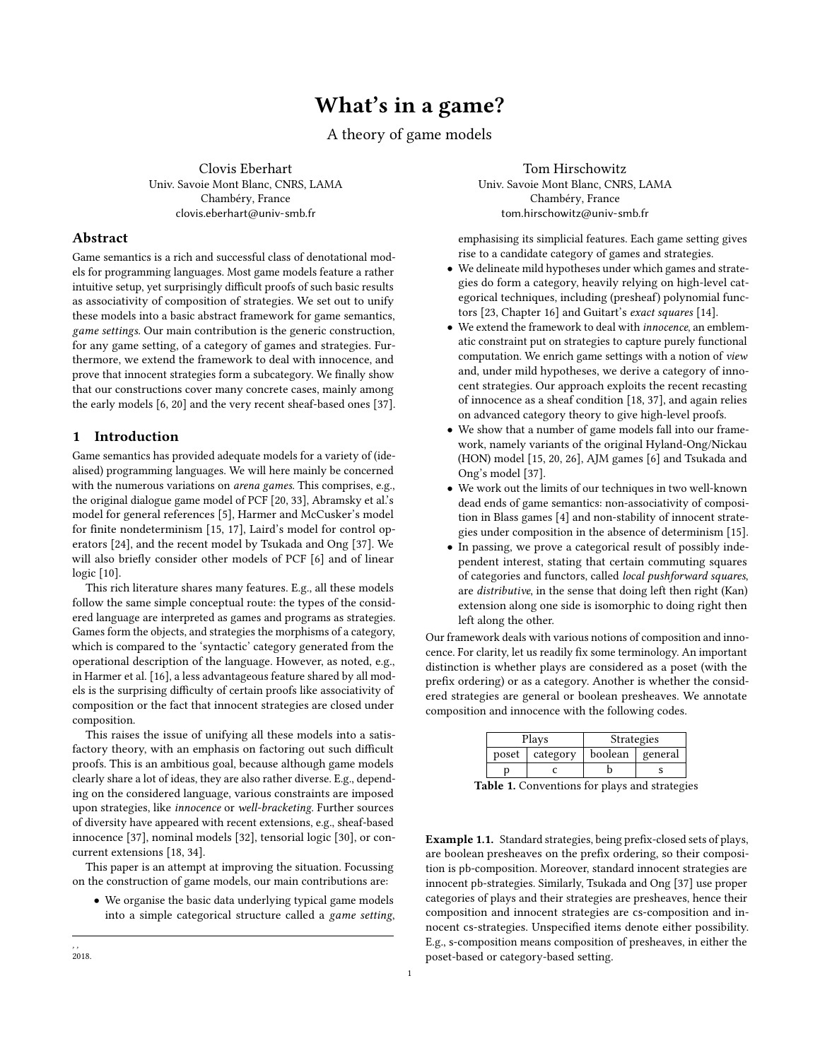# What's in a game?

A theory of game models

Clovis Eberhart Univ. Savoie Mont Blanc, CNRS, LAMA Chambéry, France clovis.eberhart@univ-smb.fr

# Abstract

Game semantics is a rich and successful class of denotational models for programming languages. Most game models feature a rather intuitive setup, yet surprisingly difficult proofs of such basic results as associativity of composition of strategies. We set out to unify these models into a basic abstract framework for game semantics, game settings. Our main contribution is the generic construction, for any game setting, of a category of games and strategies. Furthermore, we extend the framework to deal with innocence, and prove that innocent strategies form a subcategory. We finally show that our constructions cover many concrete cases, mainly among the early models [\[6,](#page-10-0) [20\]](#page-10-1) and the very recent sheaf-based ones [\[37\]](#page-10-2).

# 1 Introduction

Game semantics has provided adequate models for a variety of (idealised) programming languages. We will here mainly be concerned with the numerous variations on arena games. This comprises, e.g., the original dialogue game model of PCF [\[20,](#page-10-1) [33\]](#page-10-3), Abramsky et al.'s model for general references [\[5\]](#page-10-4), Harmer and McCusker's model for finite nondeterminism [\[15,](#page-10-5) [17\]](#page-10-6), Laird's model for control operators [\[24\]](#page-10-7), and the recent model by Tsukada and Ong [\[37\]](#page-10-2). We will also briefly consider other models of PCF [\[6\]](#page-10-0) and of linear logic [\[10\]](#page-10-8).

This rich literature shares many features. E.g., all these models follow the same simple conceptual route: the types of the considered language are interpreted as games and programs as strategies. Games form the objects, and strategies the morphisms of a category, which is compared to the 'syntactic' category generated from the operational description of the language. However, as noted, e.g., in Harmer et al. [\[16\]](#page-10-9), a less advantageous feature shared by all models is the surprising difficulty of certain proofs like associativity of composition or the fact that innocent strategies are closed under composition.

This raises the issue of unifying all these models into a satisfactory theory, with an emphasis on factoring out such difficult proofs. This is an ambitious goal, because although game models clearly share a lot of ideas, they are also rather diverse. E.g., depending on the considered language, various constraints are imposed upon strategies, like innocence or well-bracketing. Further sources of diversity have appeared with recent extensions, e.g., sheaf-based innocence [\[37\]](#page-10-2), nominal models [\[32\]](#page-10-10), tensorial logic [\[30\]](#page-10-11), or concurrent extensions [\[18,](#page-10-12) [34\]](#page-10-13).

This paper is an attempt at improving the situation. Focussing on the construction of game models, our main contributions are:

• We organise the basic data underlying typical game models into a simple categorical structure called a game setting,

Tom Hirschowitz Univ. Savoie Mont Blanc, CNRS, LAMA Chambéry, France tom.hirschowitz@univ-smb.fr

emphasising its simplicial features. Each game setting gives rise to a candidate category of games and strategies.

- We delineate mild hypotheses under which games and strategies do form a category, heavily relying on high-level categorical techniques, including (presheaf) polynomial functors [\[23,](#page-10-14) Chapter 16] and Guitart's exact squares [\[14\]](#page-10-15).
- We extend the framework to deal with innocence, an emblematic constraint put on strategies to capture purely functional computation. We enrich game settings with a notion of view and, under mild hypotheses, we derive a category of innocent strategies. Our approach exploits the recent recasting of innocence as a sheaf condition [\[18,](#page-10-12) [37\]](#page-10-2), and again relies on advanced category theory to give high-level proofs.
- We show that a number of game models fall into our framework, namely variants of the original Hyland-Ong/Nickau (HON) model [\[15,](#page-10-5) [20,](#page-10-1) [26\]](#page-10-16), AJM games [\[6\]](#page-10-0) and Tsukada and Ong's model [\[37\]](#page-10-2).
- We work out the limits of our techniques in two well-known dead ends of game semantics: non-associativity of composition in Blass games [\[4\]](#page-10-17) and non-stability of innocent strategies under composition in the absence of determinism [\[15\]](#page-10-5).
- In passing, we prove a categorical result of possibly independent interest, stating that certain commuting squares of categories and functors, called local pushforward squares, are distributive, in the sense that doing left then right (Kan) extension along one side is isomorphic to doing right then left along the other.

Our framework deals with various notions of composition and innocence. For clarity, let us readily fix some terminology. An important distinction is whether plays are considered as a poset (with the prefix ordering) or as a category. Another is whether the considered strategies are general or boolean presheaves. We annotate composition and innocence with the following codes.

| Plays |                  | <b>Strategies</b> |         |  |
|-------|------------------|-------------------|---------|--|
|       | poset   category | boolean           | general |  |
|       |                  |                   |         |  |

Table 1. Conventions for plays and strategies

Example 1.1. Standard strategies, being prefix-closed sets of plays, are boolean presheaves on the prefix ordering, so their composition is pb-composition. Moreover, standard innocent strategies are innocent pb-strategies. Similarly, Tsukada and Ong [\[37\]](#page-10-2) use proper categories of plays and their strategies are presheaves, hence their composition and innocent strategies are cs-composition and innocent cs-strategies. Unspecified items denote either possibility. E.g., s-composition means composition of presheaves, in either the poset-based or category-based setting.

, , 2018.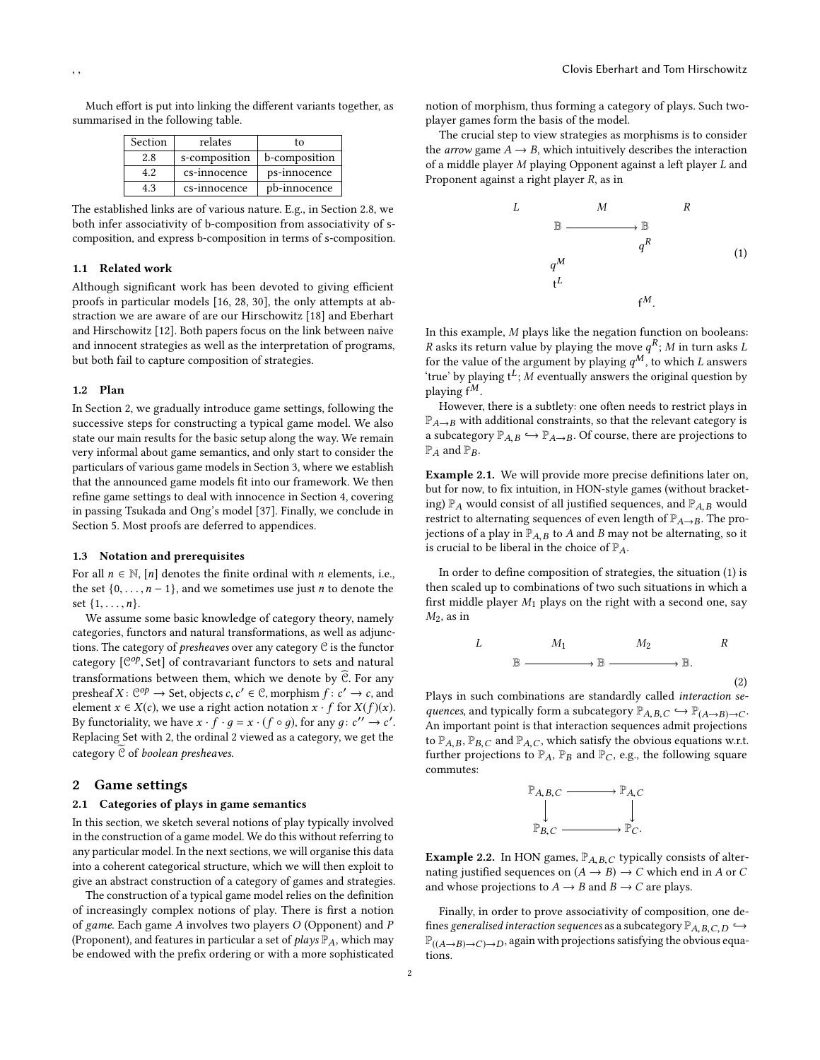Much effort is put into linking the different variants together, as summarised in the following table.

| Section | relates       | t٥            |  |  |
|---------|---------------|---------------|--|--|
| 2.8     | s-composition | b-composition |  |  |
| 4.2     | cs-innocence  | ps-innocence  |  |  |
| 43      | cs-innocence  | pb-innocence  |  |  |

The established links are of various nature. E.g., in Section [2.8,](#page-3-0) we both infer associativity of b-composition from associativity of scomposition, and express b-composition in terms of s-composition.

## 1.1 Related work

Although significant work has been devoted to giving efficient proofs in particular models [\[16,](#page-10-9) [28,](#page-10-18) [30\]](#page-10-11), the only attempts at abstraction we are aware of are our Hirschowitz [\[18\]](#page-10-12) and Eberhart and Hirschowitz [\[12\]](#page-10-19). Both papers focus on the link between naive and innocent strategies as well as the interpretation of programs, but both fail to capture composition of strategies.

#### 1.2 Plan

In Section [2,](#page-1-0) we gradually introduce game settings, following the successive steps for constructing a typical game model. We also state our main results for the basic setup along the way. We remain very informal about game semantics, and only start to consider the particulars of various game models in Section [3,](#page-4-0) where we establish that the announced game models fit into our framework. We then refine game settings to deal with innocence in Section [4,](#page-7-0) covering in passing Tsukada and Ong's model [\[37\]](#page-10-2). Finally, we conclude in Section [5.](#page-10-20) Most proofs are deferred to appendices.

## <span id="page-1-3"></span>1.3 Notation and prerequisites

For all  $n \in \mathbb{N}$ ,  $[n]$  denotes the finite ordinal with *n* elements, i.e., the set  $\{0, \ldots, n-1\}$ , and we sometimes use just *n* to denote the set  $\{1, \ldots, n\}$ .

We assume some basic knowledge of category theory, namely categories, functors and natural transformations, as well as adjunctions. The category of presheaves over any category C is the functor category  $\left[\mathcal{C}^{op}, \mathsf{Set}\right]$  of contravariant functors to sets and natural<br>transformations heterographics used and the sets  $\widehat{\mathcal{C}}$ . For equal transformations between them, which we denote by  $\widehat{C}$ . For any presheaf  $X: \mathcal{C}^{op} \to \mathsf{Set}$ , objects  $c, c' \in \mathcal{C}$ , morphism  $f: c' \to c$ , and<br>element  $x \in X(c)$  we use a right action notation  $x \in \mathsf{for} Y(f)(x)$ element  $x \in X(c)$ , we use a right action notation  $x \cdot f$  for  $X(f)(x)$ . By functoriality, we have  $x \cdot \hat{f} \cdot g = x \cdot (f \circ g)$ , for any  $g: c'' \to c'$ .<br>Penhasing Set with 2, the ordinal 2 viewed as a category, we get the Replacing Set with 2, the ordinal 2 viewed as a category, we get the category  $\mathcal C$  of boolean presheaves.

# <span id="page-1-0"></span>2 Game settings

## 2.1 Categories of plays in game semantics

In this section, we sketch several notions of play typically involved in the construction of a game model. We do this without referring to any particular model. In the next sections, we will organise this data into a coherent categorical structure, which we will then exploit to give an abstract construction of a category of games and strategies.

The construction of a typical game model relies on the definition of increasingly complex notions of play. There is first a notion of game. Each game A involves two players O (Opponent) and P (Proponent), and features in particular a set of *plays*  $\mathbb{P}_A$ , which may be endowed with the prefix ordering or with a more sophisticated

notion of morphism, thus forming a category of plays. Such twoplayer games form the basis of the model.

The crucial step to view strategies as morphisms is to consider the *arrow* game  $A \rightarrow B$ , which intuitively describes the interaction of a middle player M playing Opponent against a left player L and Proponent against a right player R, as in

<span id="page-1-1"></span>

In this example, M plays like the negation function on booleans: R asks its return value by playing the move  $q^R$ ; M in turn asks L<br>for the value of the argument by playing  $q^M$  to which Lanswers for the value of the argument by playing  $q^M$ , to which L answers<br>'true' by playing  $t^L$ . M eventually answers the original question by 'true' by playing  $t^L$ ; *M* eventually answers the original question by playing  $f^M$ playing  $f^M$ .

However, there is a subtlety: one often needs to restrict plays in  $\mathbb{P}_{A\to B}$  with additional constraints, so that the relevant category is<br>a subcategory  $\mathbb{P}_{A\to B} \hookrightarrow \mathbb{P}_{A\to B}$ . Of course there are projections to a subcategory  $\mathbb{P}_{A,B} \hookrightarrow \mathbb{P}_{A\to B}$ . Of course, there are projections to  $\mathbb{P}_A$  and  $\mathbb{P}_B$ .

Example 2.1. We will provide more precise definitions later on, but for now, to fix intuition, in HON-style games (without bracketing)  $\mathbb{P}_A$  would consist of all justified sequences, and  $\mathbb{P}_{A,B}$  would restrict to alternating sequences of even length of  $\mathbb{P}_{A\rightarrow B}$ . The projections of a play in  $\mathbb{P}_{A,B}$  to A and B may not be alternating, so it is crucial to be liberal in the choice of  $\mathbb{P}_A$ .

In order to define composition of strategies, the situation [\(1\)](#page-1-1) is then scaled up to combinations of two such situations in which a first middle player  $M_1$  plays on the right with a second one, say  $M_2$ , as in

<span id="page-1-2"></span>
$$
L \longrightarrow M_1 \longrightarrow M_2 \longrightarrow R
$$
  

$$
\mathbb{B} \longrightarrow \mathbb{B} \longrightarrow M_2 \qquad (2)
$$

Plays in such combinations are standardly called interaction sequences, and typically form a subcategory  $\mathbb{P}_{A,B,C} \hookrightarrow \mathbb{P}_{(A\rightarrow B)\rightarrow C}$ . An important point is that interaction sequences admit projections to  $\mathbb{P}_{A,B}$ ,  $\mathbb{P}_{B,C}$  and  $\mathbb{P}_{A,C}$ , which satisfy the obvious equations w.r.t. further projections to  $\mathbb{P}_A$ ,  $\mathbb{P}_B$  and  $\mathbb{P}_C$ , e.g., the following square commutes:



<span id="page-1-4"></span>**Example 2.2.** In HON games,  $\mathbb{P}_{A,B,C}$  typically consists of alternating justified sequences on  $(A \rightarrow B) \rightarrow C$  which end in A or C and whose projections to  $A \rightarrow B$  and  $B \rightarrow C$  are plays.

Finally, in order to prove associativity of composition, one defines generalised interaction sequences as a subcategory  $\mathbb{P}_{A,B,C,D} \hookrightarrow$  $\mathbb{P}_{((A\rightarrow B)\rightarrow C)\rightarrow D}$ , again with projections satisfying the obvious equations.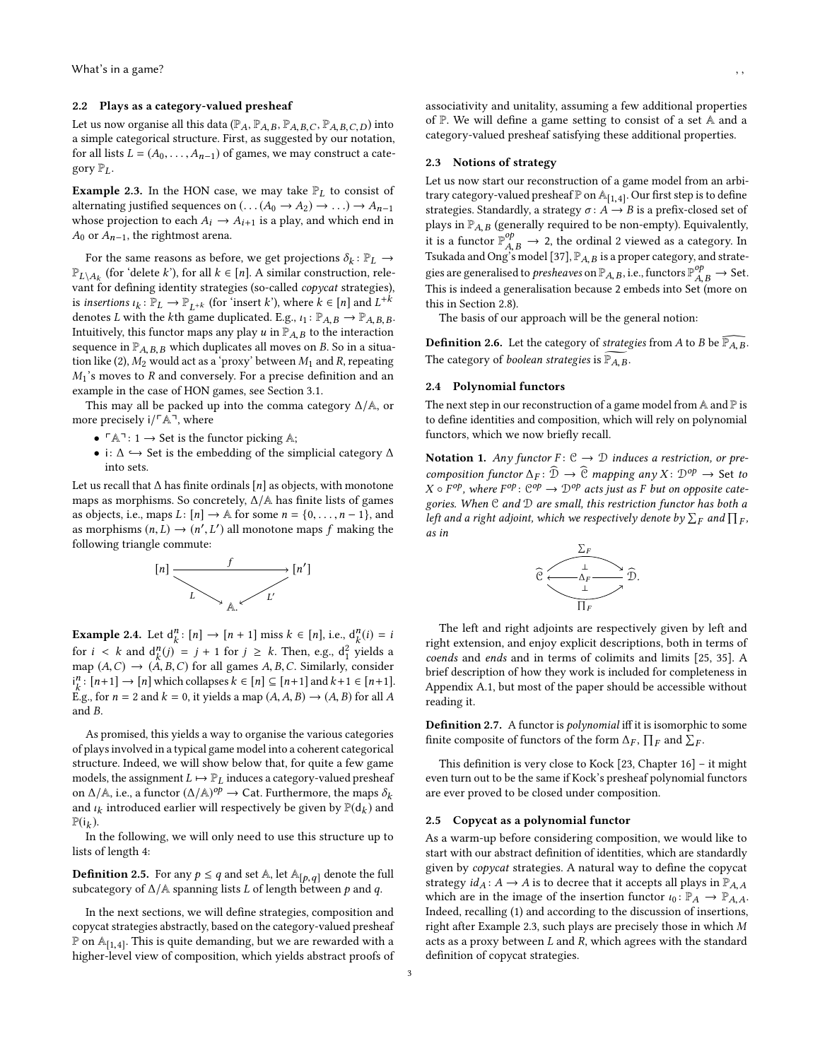#### 2.2 Plays as a category-valued presheaf

Let us now organise all this data  $(\mathbb{P}_A, \mathbb{P}_{A,B}, \mathbb{P}_{A,B,C}, \mathbb{P}_{A,B,C,D})$  into a simple categorical structure. First, as suggested by our notation, for all lists  $L = (A_0, \ldots, A_{n-1})$  of games, we may construct a category  $\mathbb{P}_L$ .

<span id="page-2-0"></span>**Example 2.3.** In the HON case, we may take  $\mathbb{P}_L$  to consist of alternating justified sequences on  $(\ldots(A_0 \rightarrow A_2) \rightarrow \ldots) \rightarrow A_{n-1}$ whose projection to each  $A_i \rightarrow A_{i+1}$  is a play, and which end in  $A_0$  or  $A_{n-1}$ , the rightmost arena.

For the same reasons as before, we get projections  $\delta_k : \mathbb{P}_L \to$ <br> $\mathbb{P}_k$  (for 'delete k') for all  $k \in [n]$ . A similar construction rele- $\mathbb{P}_{L\setminus A_k}$  (for 'delete k'), for all  $k \in [n]$ . A similar construction, rele-<br>yout for defining identity strategies (so-called convert strategies)  $\mathbb{P}_{L\setminus A_k}$  (for delete  $\kappa$  ), for all  $\kappa \in [n]$ . A similar construction, relevant for defining identity strategies (so-called *copycat* strategies), is *insertions*  $\iota_k : \mathbb{P}_L \to \mathbb{P}_{L^{+k}}$  (for 'insert k'), where  $k \in [n]$  and  $L^{+k}$ <br>denotes L with the kth game duplicated  $E \circ \iota_k : \mathbb{P}_A \circ \mathbb{P}_A \circ \iota_k$ denotes L with the kth game duplicated. E.g.,  $\iota_1: \mathbb{P}_{A,B} \to \mathbb{P}_{A,B,B}$ . Intuitively, this functor maps any play  $u$  in  $\mathbb{P}_{A,B}$  to the interaction sequence in  $\mathbb{P}_{A,B,B}$  which duplicates all moves on B. So in a situa-tion like [\(2\)](#page-1-2),  $M_2$  would act as a 'proxy' between  $M_1$  and R, repeating  $M_1$ 's moves to R and conversely. For a precise definition and an example in the case of HON games, see Section [3.1.](#page-4-1)

This may all be packed up into the comma category ∆/A, or more precisely  $i/\ulcorner A\urcorner$ , where

- $\ulcorner A \urcorner : 1 \rightarrow$  Set is the functor picking A;
- i:  $\Delta \hookrightarrow$  Set is the embedding of the simplicial category  $\Delta$ into sets.

Let us recall that  $\Delta$  has finite ordinals [n] as objects, with monotone maps as morphisms. So concretely,  $\Delta/A$  has finite lists of games as objects, i.e., maps  $L: [n] \rightarrow \mathbb{A}$  for some  $n = \{0, \ldots, n-1\}$ , and as morphisms  $(n, L) \rightarrow (n', L')$  all monotone maps f making the following triangle commute:  $\frac{1}{2}$  following triangle commute:



**Example 2.4.** Let  $d_k^n : [n] \to [n+1]$  miss  $k \in [n]$ , i.e.,  $d_k^n(i) = i$ for  $i < k$  and  $d_h^n(j) = j + 1$  for  $j \ge k$ . Then, e.g.,  $d_1^2$  yields a<br>map  $(A, C) \rightarrow (A, B, C)$  for all games  $A, B, C$  Similarly, consider map  $(A, C) \rightarrow (A, B, C)$  for all games  $A, B, C$ . Similarly, consider  $i^n : [n+1] \rightarrow [n]$  which collapses  $k \in [n] \subset [n+1]$  and  $k+1 \in [n+1]$  $i_k^n$ :  $[n+1] \rightarrow [n]$  which collapses  $k \in [n] \subseteq [n+1]$  and  $k+1 \in [n+1]$ .<br>Eq. for  $n = 2$  and  $k = 0$ , it vialds a map  $(A \cap B) \rightarrow (A \cap B)$  for all  $A$ . E.g., for  $n = 2$  and  $k = 0$ , it yields a map  $(A, A, B) \rightarrow (A, B)$  for all A and B.

As promised, this yields a way to organise the various categories of plays involved in a typical game model into a coherent categorical structure. Indeed, we will show below that, for quite a few game models, the assignment  $L \mapsto \mathbb{P}_L$  induces a category-valued presheaf on  $\Delta/\mathbb{A}$ , i.e., a functor  $(\Delta/\mathbb{A})^{op} \to \text{Cat}$ . Furthermore, the maps  $\delta_k$ <br>and  $\iota_k$  introduced earlier will respectively be given by  $\mathbb{P}(d_k)$  and and  $\iota_k$  introduced earlier will respectively be given by  $\mathbb{P}(\mathsf{d}_k)$  and  $\mathbb{P}(\mathsf{d}_k)$ .  $\mathbb{P}(\mathsf{i}_k)$ .<br>In

In the following, we will only need to use this structure up to lists of length 4:

**Definition 2.5.** For any  $p \le q$  and set A, let  $\mathbb{A}_{[p,q]}$  denote the full subcategory of  $\Delta$ /A spanning lists L of length between p and q.

In the next sections, we will define strategies, composition and copycat strategies abstractly, based on the category-valued presheaf  $\mathbb{P}$  on  $\mathbb{A}_{[1,4]}$ . This is quite demanding, but we are rewarded with a higher-level view of composition, which vields abstract proofs of higher-level view of composition, which yields abstract proofs of

associativity and unitality, assuming a few additional properties of P. We will define a game setting to consist of a set A and a category-valued presheaf satisfying these additional properties.

# 2.3 Notions of strategy

Let us now start our reconstruction of a game model from an arbitrary category-valued presheaf  $\mathbb P$  on  $\mathbb A_{[1,4]}$ . Our first step is to define strategies. Standardly, a strategy  $\pi: A \to B$  is a prefix-closed set of strategies. Standardly, a strategy  $\sigma: A \rightarrow B$  is a prefix-closed set of plays in  $\mathbb{P}_{A,B}$  (generally required to be non-empty). Equivalently, plays in  $\mathbb{P}_{A,B}$  (generally required to be non-empty). Equivalently,<br>it is a functor  $\mathbb{P}_{A,B}^{op} \to 2$ , the ordinal 2 viewed as a category. In<br>Tsukada and Ong's model [37]  $\mathbb{P}_{A,B}$  is a proper category and strate-Tsukada and Ong's model [\[37\]](#page-10-2),  $\mathbb{P}_{A,B}$  is a proper category, and strategies are generalised to *presheaves* on  $\mathbb{P}_{A,B}$ , i.e., functors  $\mathbb{P}_{A,B}^{op} \to$  Set.<br>This is indeed a generalisation because 2 embeds into Set (more on This is indeed a generalisation because 2 embeds into Set (more on this in Section [2.8\)](#page-3-0).

The basis of our approach will be the general notion:

<span id="page-2-1"></span>**Definition 2.6.** Let the category of *strategies* from A to B be  $\overline{P_{A,B}}$ . The category of *boolean strategies* is  $\widetilde{P_{A,B}}$ .

## 2.4 Polynomial functors

The next step in our reconstruction of a game model from  $A$  and  $P$  is to define identities and composition, which will rely on polynomial functors, which we now briefly recall.

<span id="page-2-2"></span>Notation 1. Any functor  $F: \mathcal{C} \to \mathcal{D}$  induces a restriction, or precomposition functor  $\Delta_F : \widehat{\mathcal{D}} \to \widehat{\mathcal{C}}$  mapping any  $X : \mathcal{D}^{op} \to$  Set to  $X \circ F^{op}$ , where  $F^{op}$ :  $C^{op} \to D^{op}$  acts just as F but on opposite cate-<br>sories When C and D are small, this restriction functor has both a gories. When  $C$  and  $D$  are small, this restriction functor has both a left and a right adjoint, which we respectively denote by  $\Sigma_F$  and  $\Pi_F$ ,<br>as in as in



The left and right adjoints are respectively given by left and right extension, and enjoy explicit descriptions, both in terms of coends and ends and in terms of colimits and limits [\[25,](#page-10-21) [35\]](#page-10-22). A brief description of how they work is included for completeness in Appendix [A.1,](#page-10-23) but most of the paper should be accessible without reading it.

Definition 2.7. A functor is polynomial iff it is isomorphic to some finite composite of functors of the form  $\Delta_F$ ,  $\prod_F$  and  $\sum_F$ .

This definition is very close to Kock [\[23,](#page-10-14) Chapter 16] – it might even turn out to be the same if Kock's presheaf polynomial functors are ever proved to be closed under composition.

#### 2.5 Copycat as a polynomial functor

As a warm-up before considering composition, we would like to start with our abstract definition of identities, which are standardly given by copycat strategies. A natural way to define the copycat strategy  $id_A: A \to A$  is to decree that it accepts all plays in  $\mathbb{P}_{A,A}$ which are in the image of the insertion functor  $\iota_0 \colon \mathbb{P}_A \to \mathbb{P}_{A,A}$ . Indeed, recalling [\(1\)](#page-1-1) and according to the discussion of insertions, right after Example [2.3,](#page-2-0) such plays are precisely those in which M acts as a proxy between  $L$  and  $R$ , which agrees with the standard definition of copycat strategies.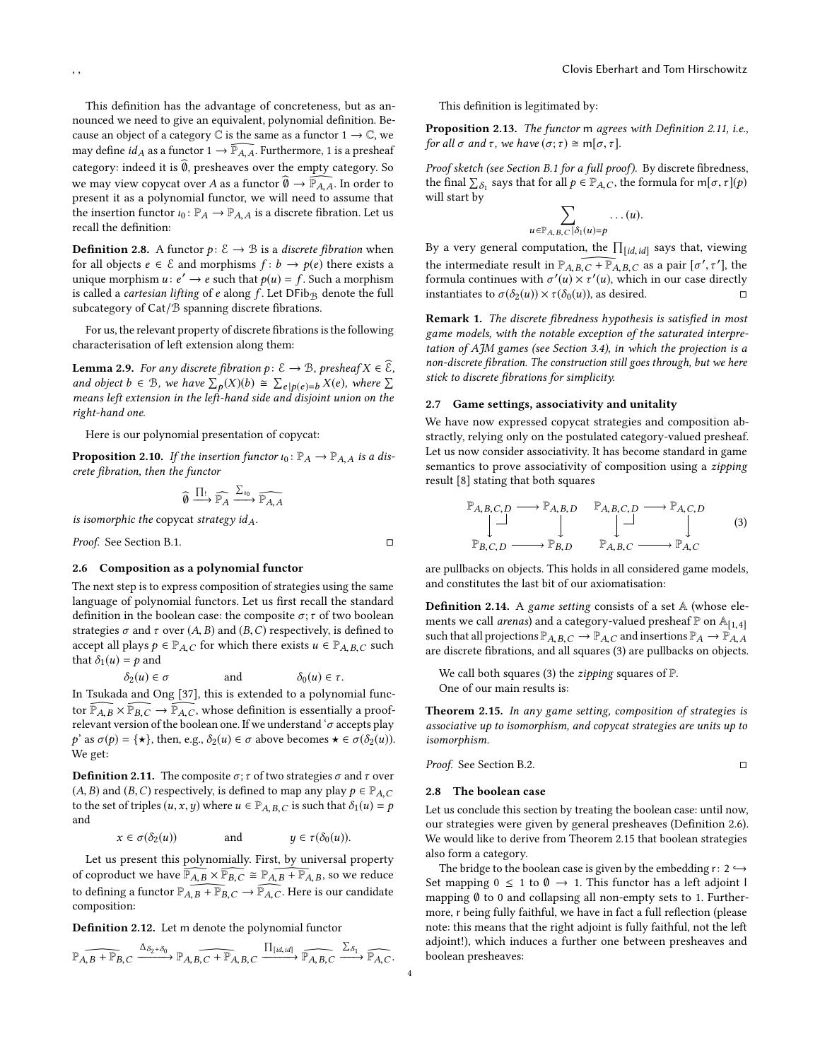This definition has the advantage of concreteness, but as announced we need to give an equivalent, polynomial definition. Because an object of a category  $\mathbb C$  is the same as a functor  $1 \to \mathbb C$ , we may define  $id_A$  as a functor  $1 \rightarrow \overline{P}_{A}$ , Furthermore, 1 is a presheaf category: indeed it is  $\widehat{\theta}$ , presheaves over the empty category. So we may view copycat over A as a functor  $\widehat{\emptyset} \to \widehat{\mathbb{P}}_{A,\overline{A}}$ . In order to present it as a polynomial functor, we will need to assume that the insertion functor  $\iota_0 \colon \mathbb{P}_A \to \mathbb{P}_{A,A}$  is a discrete fibration. Let us recall the definition:

<span id="page-3-5"></span>**Definition 2.8.** A functor  $p: \mathcal{E} \to \mathcal{B}$  is a *discrete fibration* when for all objects  $e \in \mathcal{E}$  and morphisms  $f : b \to p(e)$  there exists a unique morphism  $u : e' \to e$  such that  $p(u) = f$ . Such a morphism<br>is called a *cartesian lifting* of e along f. Let DE h<sub>as</sub> denote the full is called a *cartesian lifting* of e along  $f$ . Let  $DFib_{\mathcal{B}}$  denote the full subcategory of Cat/B spanning discrete fibrations.

For us, the relevant property of discrete fibrations is the following characterisation of left extension along them:

<span id="page-3-4"></span>**Lemma 2.9.** For any discrete fibration  $p: \mathcal{E} \to \mathcal{B}$ , presheaf  $X \in \mathcal{E}$ , and object  $b \in \mathcal{B}$ , we have  $\sum_{p} p(X)(b) \cong \sum_{p} p(e) = b X(e)$ , where  $\sum_{p} p(e) = b Y(e)$ means left extension in the left-hand side and disjoint union on the right-hand one.

Here is our polynomial presentation of copycat:

<span id="page-3-6"></span>**Proposition 2.10.** If the insertion functor  $\iota_0 : \mathbb{P}_A \to \mathbb{P}_{A,A}$  is a discrete fibration, then the functor

$$
\widehat{\emptyset} \xrightarrow{\prod_!} \widehat{\mathbb{P}_A} \xrightarrow{\Sigma_{i_0}} \widehat{\mathbb{P}_{A,A}}
$$

is isomorphic the copycat strategy  $id_A$ .

Proof. See Section [B.1.](#page-13-0) □

#### 2.6 Composition as a polynomial functor

The next step is to express composition of strategies using the same language of polynomial functors. Let us first recall the standard definition in the boolean case: the composite  $\sigma$ ;  $\tau$  of two boolean strategies  $\sigma$  and  $\tau$  over  $(A, B)$  and  $(B, C)$  respectively, is defined to accept all plays  $p \in \mathbb{P}_{A,C}$  for which there exists  $u \in \mathbb{P}_{A,B,C}$  such that  $\delta_1(u) = p$  and<br> $\delta_2(u) \in \sigma$ 

 $\delta_2(u) \in \sigma$  and  $\delta_0(u) \in \tau$ .<br>In Tsukada and Ong [\[37\]](#page-10-2), this is extended to a polynomial functor  $\mathbb{P}_{A,B} \times \mathbb{P}_{B,C} \to \mathbb{P}_{A,C}$ , whose definition is essentially a proofrelevant version of the boolean one. If we understand ' $\sigma$  accepts play p' as  $\sigma(p) = {\star}$ , then, e.g.,  $\delta_2(u) \in \sigma$  above becomes  $\star \in \sigma(\delta_2(u))$ . We get:

<span id="page-3-1"></span>**Definition 2.11.** The composite  $\sigma$ ;  $\tau$  of two strategies  $\sigma$  and  $\tau$  over  $(A, B)$  and  $(B, C)$  respectively, is defined to map any play  $p \in \mathbb{P}_{A,C}$ to the set of triples  $(u, x, y)$  where  $u \in \mathbb{P}_{A, B, C}$  is such that  $\delta_1(u) = p$ and

$$
x \in \sigma(\delta_2(u))
$$
 and  $y \in \tau(\delta_0(u)).$ 

Let us present this polynomially. First, by universal property of coproduct we have  $\overline{\mathbb{P}_{A,B}} \times \overline{\mathbb{P}_{B,C}} \cong \mathbb{P}_{A,B} + \overline{\mathbb{P}_{A,B}}$ , so we reduce to defining a functor  $\mathbb{P}_{A,B}$  +  $\mathbb{P}_{B,C}$   $\rightarrow$   $\widehat{\mathbb{P}_{A,C}}$ . Here is our candidate composition:

<span id="page-3-8"></span>Definition 2.12. Let m denote the polynomial functor

$$
\widehat{\mathbb{P}_{A,B} + \mathbb{P}_{B,C}} \xrightarrow{\Delta_{\delta_2 + \delta_0}} \widehat{\mathbb{P}_{A,B,C} + \mathbb{P}_{A,B,C}} \xrightarrow{\prod_{[id,id]}} \widehat{\mathbb{P}_{A,B,C}} \xrightarrow{\sum_{\delta_1}} \widehat{\mathbb{P}_{A,C}}.
$$

This definition is legitimated by:

<span id="page-3-7"></span>Proposition 2.13. The functor m agrees with Definition [2.11,](#page-3-1) i.e., for all  $\sigma$  and  $\tau$ , we have  $(\sigma; \tau) \cong m[\sigma, \tau]$ .

Proof sketch (see Section [B.1](#page-13-0) for a full proof). By discrete fibredness, the final  $\sum_{\delta_1}$  says that for all  $p \in \mathbb{P}_{A,C}$ , the formula for m[ $\sigma$ ,  $\tau$ ]( $p$ ) will start by

$$
\sum_{\mathbb{P}_{A,\,B,\,C} \mid \delta_1(u) = p} \ldots (u).
$$

 $u \in \mathbb{P}_{A,B,C}[\delta_1(u)=p]$ <br>By a very general computation, the  $\prod_{[id,id]}$  says that, viewing the intermediate result in  $\mathbb{P}_{A,B,C}$   $\widehat{F \vdash P_{A,B,C}}$  as a pair  $[\sigma', \tau']$ , the formula continues with  $\sigma'(u) \times \tau'(u)$ , which in our case directly<br>instantiates to  $\sigma(\delta_0(u)) \times \tau(\delta_0(u))$  as desired instantiates to  $\sigma(\delta_2(u)) \times \tau(\delta_0(u))$ , as desired.  $\Box$ 

Remark 1. The discrete fibredness hypothesis is satisfied in most game models, with the notable exception of the saturated interpretation of AJM games (see Section [3.4\)](#page-6-0), in which the projection is a non-discrete fibration. The construction still goes through, but we here stick to discrete fibrations for simplicity.

## 2.7 Game settings, associativity and unitality

We have now expressed copycat strategies and composition abstractly, relying only on the postulated category-valued presheaf. Let us now consider associativity. It has become standard in game semantics to prove associativity of composition using a *zipping* result [\[8\]](#page-10-24) stating that both squares

<span id="page-3-2"></span>
$$
\mathbb{P}_{A,B,C,D} \longrightarrow \mathbb{P}_{A,B,D} \qquad \mathbb{P}_{A,B,C,D} \longrightarrow \mathbb{P}_{A,C,D} \qquad (3)
$$
\n
$$
\mathbb{P}_{B,C,D} \longrightarrow \mathbb{P}_{B,D} \qquad \mathbb{P}_{A,B,C} \longrightarrow \mathbb{P}_{A,C} \qquad (3)
$$

are pullbacks on objects. This holds in all considered game models, and constitutes the last bit of our axiomatisation:

Definition 2.14. A game setting consists of a set A (whose elements we call *arenas*) and a category-valued presheaf  $P$  on  $A_{[1,4]}$ such that all projections  $\mathbb{P}_{A,B,C} \to \mathbb{P}_{A,C}$  and insertions  $\mathbb{P}_{A} \to \mathbb{P}_{A,A}$ are discrete fibrations, and all squares [\(3\)](#page-3-2) are pullbacks on objects.

We call both squares [\(3\)](#page-3-2) the *zipping* squares of  $\mathbb{P}$ . One of our main results is:

<span id="page-3-3"></span>Theorem 2.15. In any game setting, composition of strategies is associative up to isomorphism, and copycat strategies are units up to isomorphism.

*Proof.* See Section B.2. 
$$
\Box
$$

#### <span id="page-3-0"></span>2.8 The boolean case

Let us conclude this section by treating the boolean case: until now, our strategies were given by general presheaves (Definition [2.6\)](#page-2-1). We would like to derive from Theorem [2.15](#page-3-3) that boolean strategies also form a category.

The bridge to the boolean case is given by the embedding  $r: 2 \hookrightarrow$ Set mapping  $0 \leq 1$  to  $\emptyset \rightarrow 1$ . This functor has a left adjoint l mapping ∅ to 0 and collapsing all non-empty sets to 1. Furthermore, r being fully faithful, we have in fact a full reflection (please note: this means that the right adjoint is fully faithful, not the left adjoint!), which induces a further one between presheaves and boolean presheaves: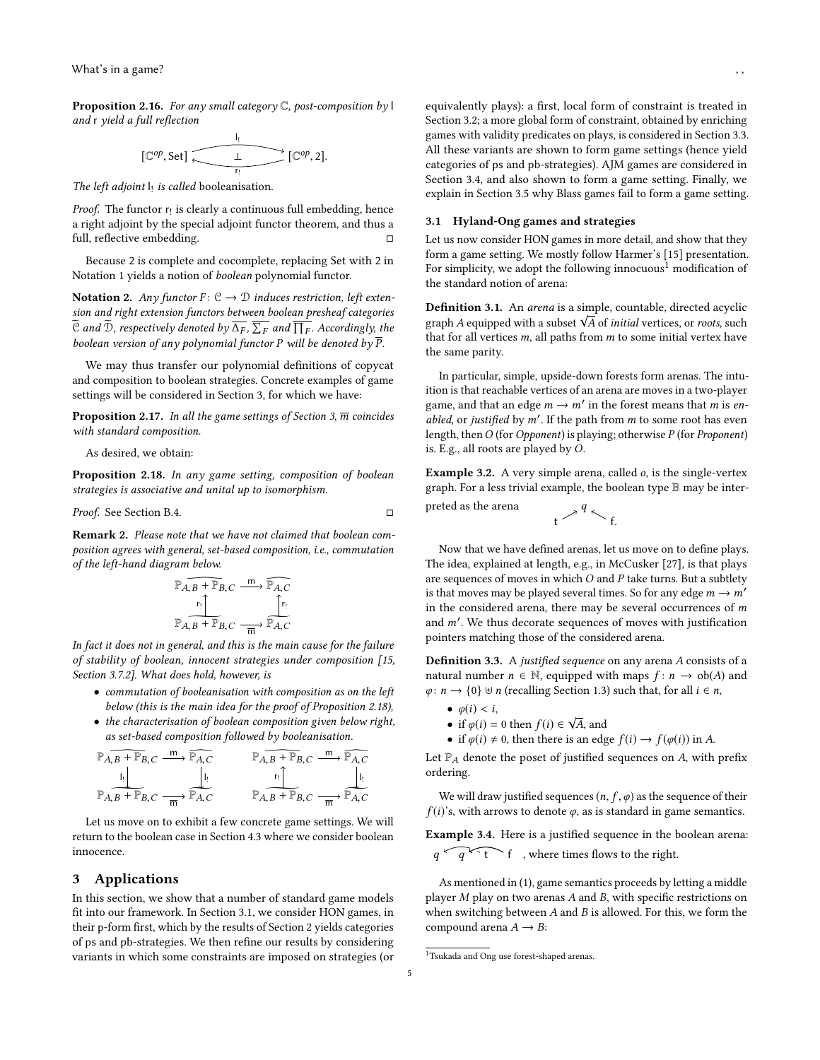<span id="page-4-5"></span>**Proposition 2.16.** For any small category  $\mathbb C$ , post-composition by l and r yield a full reflection

$$
[\mathbb{C}^{op}, \text{Set}] \xrightarrow[\underline{r}]{\underline{I}} [\mathbb{C}^{op}, 2].
$$

The left adjoint  $\mathsf{I}_!$  is called booleanisation.

*Proof.* The functor  $r_!$  is clearly a continuous full embedding, hence a right adjoint by the special adjoint functor theorem, and thus a full, reflective embedding.

Because 2 is complete and cocomplete, replacing Set with 2 in Notation [1](#page-2-2) yields a notion of boolean polynomial functor.

Notation 2. Any functor  $F: \mathcal{C} \to \mathcal{D}$  induces restriction, left extension and right extension functors between boolean presheaf categories C and D, respectively denoted by  $\Delta_F$ ,  $\Sigma_F$  and  $\prod_F$ . Accordingly, the healean version of any polynomial functor P will be denoted by  $\overline{P}$ boolean version of any polynomial functor P will be denoted by  $\overline{P}$ .

We may thus transfer our polynomial definitions of copycat and composition to boolean strategies. Concrete examples of game settings will be considered in Section [3,](#page-4-0) for which we have:

**Proposition 2.17.** In all the game settings of Section [3,](#page-4-0)  $\overline{m}$  coincides with standard composition.

As desired, we obtain:

<span id="page-4-2"></span>Proposition 2.18. In any game setting, composition of boolean strategies is associative and unital up to isomorphism.

Proof. See Section [B.4.](#page-15-0) □

<span id="page-4-6"></span>Remark 2. Please note that we have not claimed that boolean composition agrees with general, set-based composition, i.e., commutation of the left-hand diagram below.

$$
\mathbb{P}_{A,B} \xrightarrow{r_{1}} \mathbb{P}_{B,C} \xrightarrow{m} \mathbb{P}_{A,C}
$$
\n
$$
\mathbb{P}_{A,B} \xrightarrow{r_{1}} \mathbb{P}_{B,C} \xrightarrow{r_{1}} \mathbb{P}_{A,C}
$$

In fact it does not in general, and this is the main cause for the failure of stability of boolean, innocent strategies under composition [\[15,](#page-10-5) Section 3.7.2]. What does hold, however, is

- commutation of booleanisation with composition as on the left below (this is the main idea for the proof of Proposition [2.18\)](#page-4-2),
- the characterisation of boolean composition given below right, as set-based composition followed by booleanisation.

$$
\mathbb{P}_{A,B} + \mathbb{P}_{B,C} \xrightarrow{\mathbb{m}} \mathbb{P}_{A,C} \longrightarrow \mathbb{P}_{A,B} + \mathbb{P}_{B,C} \xrightarrow{\mathbb{m}} \mathbb{P}_{A,B} + \mathbb{P}_{B,C} \xrightarrow{\mathbb{m}} \mathbb{P}_{A,C}
$$
\n
$$
\mathbb{P}_{A,B} + \mathbb{P}_{B,C} \xrightarrow{\mathbb{m}} \mathbb{P}_{A,C} \longrightarrow \mathbb{P}_{A,C} \xrightarrow{\mathbb{m}} \mathbb{P}_{A,C}
$$

Let us move on to exhibit a few concrete game settings. We will return to the boolean case in Section [4.3](#page-9-1) where we consider boolean innocence.

# <span id="page-4-0"></span>3 Applications

In this section, we show that a number of standard game models fit into our framework. In Section [3.1,](#page-4-1) we consider HON games, in their p-form first, which by the results of Section [2](#page-1-0) yields categories of ps and pb-strategies. We then refine our results by considering variants in which some constraints are imposed on strategies (or

equivalently plays): a first, local form of constraint is treated in Section [3.2;](#page-5-0) a more global form of constraint, obtained by enriching games with validity predicates on plays, is considered in Section [3.3.](#page-6-1) All these variants are shown to form game settings (hence yield categories of ps and pb-strategies). AJM games are considered in Section [3.4,](#page-6-0) and also shown to form a game setting. Finally, we explain in Section [3.5](#page-7-1) why Blass games fail to form a game setting.

# <span id="page-4-1"></span>3.1 Hyland-Ong games and strategies

Let us now consider HON games in more detail, and show that they form a game setting. We mostly follow Harmer's [\[15\]](#page-10-5) presentation. For simplicity, we adopt the following innocuous<sup>[1](#page-4-3)</sup> modification of the standard notion of arena:

Definition 3.1. An arena is a simple, countable, directed acyclic **Definition 3.1.** An *arena* is a simple, countable, directed acyclic<br>graph A equipped with a subset  $\sqrt{A}$  of *initial* vertices, or *roots*, such<br>that for all vertices m\_all naths from m to some initial vertex have that for all vertices  $m$ , all paths from  $m$  to some initial vertex have the same parity.

In particular, simple, upside-down forests form arenas. The intuition is that reachable vertices of an arena are moves in a two-player game, and that an edge  $m \rightarrow m'$  in the forest means that m is en-<br>chled or justified by  $m'$ . If the path from m to some root bas even abled, or justified by  $m'$ . If the path from m to some root has even<br>length then  $O(\log n)$  propert) is playing: otherwise  $P(\text{for Proponent})$ length, then O (for Opponent) is playing; otherwise P (for Proponent) is. E.g., all roots are played by O.

<span id="page-4-4"></span>Example 3.2. A very simple arena, called o, is the single-vertex graph. For a less trivial example, the boolean type B may be inter-

$$
t \stackrel{q}{\frown} f.
$$

Now that we have defined arenas, let us move on to define plays. The idea, explained at length, e.g., in McCusker [\[27\]](#page-10-25), is that plays are sequences of moves in which  $O$  and  $P$  take turns. But a subtlety is that moves may be played several times. So for any edge  $m \rightarrow m'$ in the considered arena, there may be several occurrences of  $m$ and *m'*. We thus decorate sequences of moves with justification pointers matching those of the considered arena. pointers matching those of the considered arena.

Definition 3.3. <sup>A</sup> justified sequence on any arena <sup>A</sup> consists of a natural number  $n \in \mathbb{N}$ , equipped with maps  $f: n \to ob(A)$  and  $\varphi: n \to \{0\} \uplus n$  (recalling Section [1.3\)](#page-1-3) such that, for all  $i \in n$ ,

 $\bullet$   $\varphi(i) < i$ ,

preted as the arena q

- $\varphi(t) < t$ ,<br>• if  $\varphi(i) = 0$  then  $f(i) \in \sqrt{A}$ , and<br>• if  $\varphi(i) \neq 0$ , then there is an edg
- if  $\varphi(i) \neq 0$ , then there is an edge  $f(i) \rightarrow f(\varphi(i))$  in A.

Let  $\mathbb{P}_A$  denote the poset of justified sequences on  $A$ , with prefix ordering.

We will draw justified sequences  $(n, f, \varphi)$  as the sequence of their  $f(i)$ 's, with arrows to denote  $\varphi$ , as is standard in game semantics.

Example 3.4. Here is a justified sequence in the boolean arena:  $q \sqrt{q^2 + f}$  f, where times flows to the right.

As mentioned in [\(1\)](#page-1-1), game semantics proceeds by letting a middle player M play on two arenas A and B, with specific restrictions on when switching between  $A$  and  $B$  is allowed. For this, we form the compound arena  $A \rightarrow B$ :

<span id="page-4-3"></span> $^1$ Tsukada and Ong use forest-shaped arenas.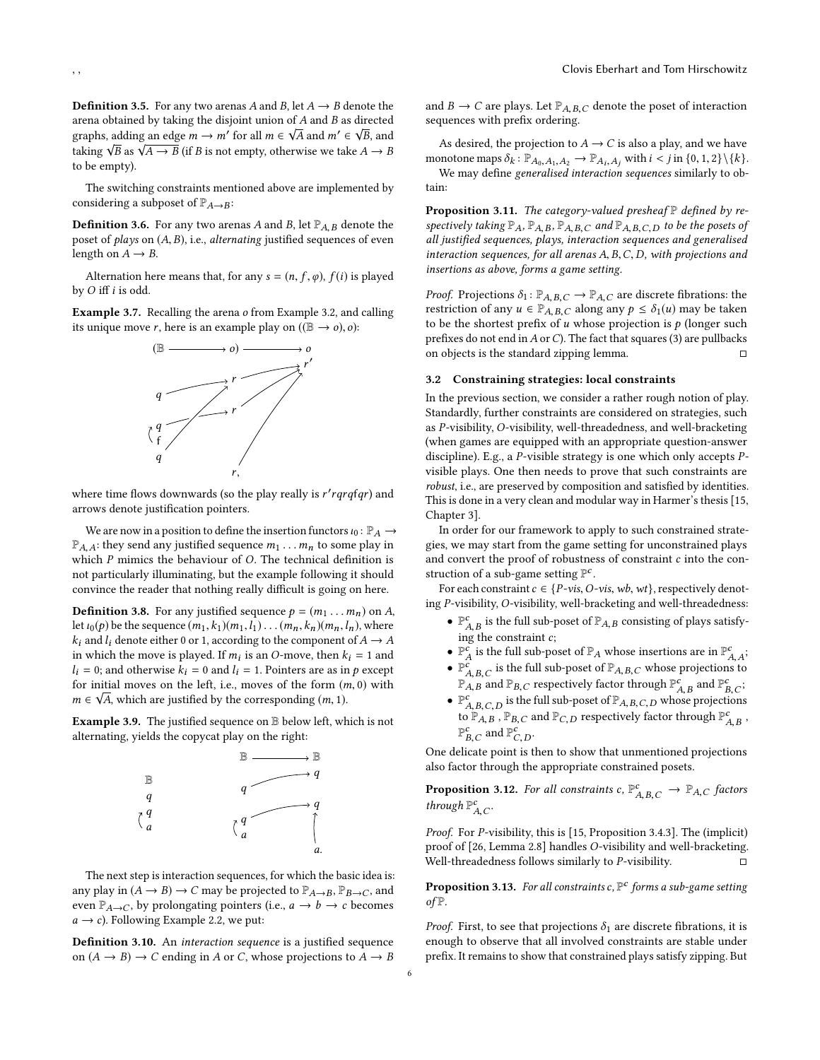**Definition 3.5.** For any two arenas A and B, let  $A \rightarrow B$  denote the arena obtained by taking the disjoint union of A and B as directed<br>∞washe adding an adgain,  $\mathbf{w}'$  for all  $\mathbf{w} \in \mathbb{R}$  and  $\mathbf{w}' \in \mathbb{R}$  and graphs, adding an edge  $m \to m'$  for all  $m \in \sqrt{A}$  and  $m' \in \sqrt{B}$ , and taking  $\sqrt{B}$  and  $\sqrt{B}$  and  $\sqrt{B}$  is not empty otherwise we take  $A \to B$ graphs, adding an edge  $m \to m$  for all  $m \in \sqrt{a}$  and  $m \in \sqrt{b}$ , and<br>taking  $\sqrt{B}$  as  $\sqrt{A \to B}$  (if B is not empty, otherwise we take  $A \to B$ <br>to be empty) to be empty).

The switching constraints mentioned above are implemented by considering a subposet of  $\mathbb{P}_{A\to B}$ :

**Definition 3.6.** For any two arenas A and B, let  $\mathbb{P}_{A,B}$  denote the poset of *plays* on  $(A, B)$ , i.e., *alternating* justified sequences of even length on  $A \rightarrow B$ .

Alternation here means that, for any  $s = (n, f, \varphi)$ ,  $f(i)$  is played by O iff i is odd.

Example 3.7. Recalling the arena o from Example [3.2,](#page-4-4) and calling



where time flows downwards (so the play really is  $r'rqrqfqr$ ) and arrows denote justification pointers arrows denote justification pointers.

We are now in a position to define the insertion functors  $\iota_0 : \mathbb{P}_A \to$  $\mathbb{P}_{A,A}$ : they send any justified sequence  $m_1 \dots m_n$  to some play in which  $P$  mimics the behaviour of  $O$ . The technical definition is which P mimics the behaviour of O. The technical definition is not particularly illuminating, but the example following it should convince the reader that nothing really difficult is going on here.

**Definition 3.8.** For any justified sequence  $p = (m_1 \dots m_n)$  on A, let  $u_0(p)$  be the sequence  $(m_1, k_1)(m_1, l_1) \dots (m_n, k_n)(m_n, l_n)$ , where  $k_i$  and  $l_i$  denote either 0 or 1, according to the component of  $A \rightarrow A$ in which the move is played. If  $m_i$  is an O-move, then  $k_i = 1$  and  $l_i = 0$  and otherwise  $k_i = 0$  and  $l_i = 1$ . Pointers are as in a except  $l_i = 0$ ; and otherwise  $k_i = 0$  and  $l_i = 1$ . Pointers are as in p except for initial moves on the left, i.e., moves of the form  $(m, 0)$  with  $m \in \sqrt{4}$  which are justified by the corresponding  $(m, 1)$  $m \in \sqrt{A}$ , which are justified by the corresponding  $(m, 1)$ .

Example 3.9. The justified sequence on B below left, which is not alternating, yields the copycat play on the right:



The next step is interaction sequences, for which the basic idea is: any play in  $(A \rightarrow B) \rightarrow C$  may be projected to  $\mathbb{P}_{A \rightarrow B}$ ,  $\mathbb{P}_{B \rightarrow C}$ , and even  $\mathbb{P}_{A\to C}$ , by prolongating pointers (i.e.,  $a \to b \to c$  becomes  $a \rightarrow c$ ). Following Example [2.2,](#page-1-4) we put:

Definition 3.10. An interaction sequence is a justified sequence on  $(A \rightarrow B) \rightarrow C$  ending in A or C, whose projections to  $A \rightarrow B$  and  $B \to C$  are plays. Let  $\mathbb{P}_{A,B,C}$  denote the poset of interaction sequences with prefix ordering.

As desired, the projection to  $A \rightarrow C$  is also a play, and we have monotone maps  $\delta_k : \mathbb{P}_{A_0, A_1, A_2} \to \mathbb{P}_{A_i, A_j}$  with  $i < j$  in  $\{0, 1, 2\} \setminus \{k\}$ .<br>We may define *generalised interaction sequences* similarly to ob-

We may define generalised interaction sequences similarly to obtain:

**Proposition 3.11.** The category-valued presheaf  $\mathbb P$  defined by respectively taking  $\mathbb{P}_A$ ,  $\mathbb{P}_{A,B}$ ,  $\mathbb{P}_{A,B,C}$  and  $\mathbb{P}_{A,B,C,D}$  to be the posets of all justified sequences, plays, interaction sequences and generalised interaction sequences, for all arenas A, B,C,D, with projections and insertions as above, forms a game setting.

*Proof.* Projections  $\delta_1$ :  $\mathbb{P}_{A,B,C} \to \mathbb{P}_{A,C}$  are discrete fibrations: the restriction of any  $u \in \mathbb{P}_{A,B,C}$  along any  $p \leq \delta_1(u)$  may be taken to be the shortest prefix of  $u$  whose projection is  $p$  (longer such prefixes do not end in A or C). The fact that squares [\(3\)](#page-3-2) are pullbacks<br>on objects is the standard zipping lemma. on objects is the standard zipping lemma.

#### <span id="page-5-0"></span>3.2 Constraining strategies: local constraints

In the previous section, we consider a rather rough notion of play. Standardly, further constraints are considered on strategies, such as P-visibility, O-visibility, well-threadedness, and well-bracketing (when games are equipped with an appropriate question-answer discipline). E.g., a P-visible strategy is one which only accepts Pvisible plays. One then needs to prove that such constraints are robust, i.e., are preserved by composition and satisfied by identities. This is done in a very clean and modular way in Harmer's thesis [\[15,](#page-10-5) Chapter 3].

In order for our framework to apply to such constrained strategies, we may start from the game setting for unconstrained plays and convert the proof of robustness of constraint c into the construction of a sub-game setting  $\mathbb{P}^c.$ 

For each constraint  $c \in \{P\text{-}vis, O\text{-}vis, wb, wt\}$ , respectively denoting P-visibility, O-visibility, well-bracketing and well-threadedness:

- $\mathbb{P}_{A,B}^c$  is the full sub-poset of  $\mathbb{P}_{A,B}$  consisting of plays satisfy-<br>ing the constraint  $\alpha$ ing the constraint  $c$ ;
- ing the constraint c;<br>
  $\mathbb{P}_{A}^{c}$  is the full sub-poset of  $\mathbb{P}_{A}$  whose insertions are in  $\mathbb{P}_{A,A}^{c}$ .<br>  $\mathbb{P}_{A}^{c}$  is the full sub-poset of  $\mathbb{P}_{A}$  whose presenting to
- $\mathbb{P}_{A,B,C}^{\mathcal{C}}$  is the full sub-poset of  $\mathbb{P}_{A,B,C}$  whose projections to  $P_{A,B}^{\alpha}$  and  $P_{B,C}^{\alpha}$  respectively factor through  $P_{A,B}^{\alpha}$  and  $P_{B,C}^{\alpha}$ ;
- $\mathbb{P}_{A,B,C,D}^{c}$  is the full sub-poset of  $\mathbb{P}_{A,B,C,D}$  whose projections to  $\mathbb{P}_{A,B}$ ,  $\mathbb{P}_{B,C}$  and  $\mathbb{P}_{C,D}$  respectively factor through  $\mathbb{P}_{A,B}^c$  ,  $\mathbb{P}_{A,B}^c$  ,  $\mathbb{P}_{B,C}^c$  and  $\mathbb{P}_{C,D}^c$  $\overline{\phantom{a}}$  $\mathbb{P}_{B,C}^c$  and  $\mathbb{P}_{C,D}^c$ .

One delicate point is then to show that unmentioned projections also factor through the appropriate constrained posets.

**Proposition 3.12.** For all constraints  $c$ ,  $\mathbb{P}^c_{A,B,C} \to \mathbb{P}_{A,C}$  factors through  $\mathbb{P}^c$ through  $\mathbb{P}_{A,C}^{c}$ .

Proof. For P-visibility, this is [\[15,](#page-10-5) Proposition 3.4.3]. The (implicit) proof of [\[26,](#page-10-16) Lemma 2.8] handles O-visibility and well-bracketing. Well-threadedness follows similarly to  $P$ -visibility.

**Proposition 3.13.** For all constraints  $c$ ,  $\mathbb{P}^c$  forms a sub-game setting of  $\mathbb{P}$  $of **F**$ .

*Proof.* First, to see that projections  $\delta_1$  are discrete fibrations, it is enough to observe that all involved constraints are stable under prefix. It remains to show that constrained plays satisfy zipping. But

A,C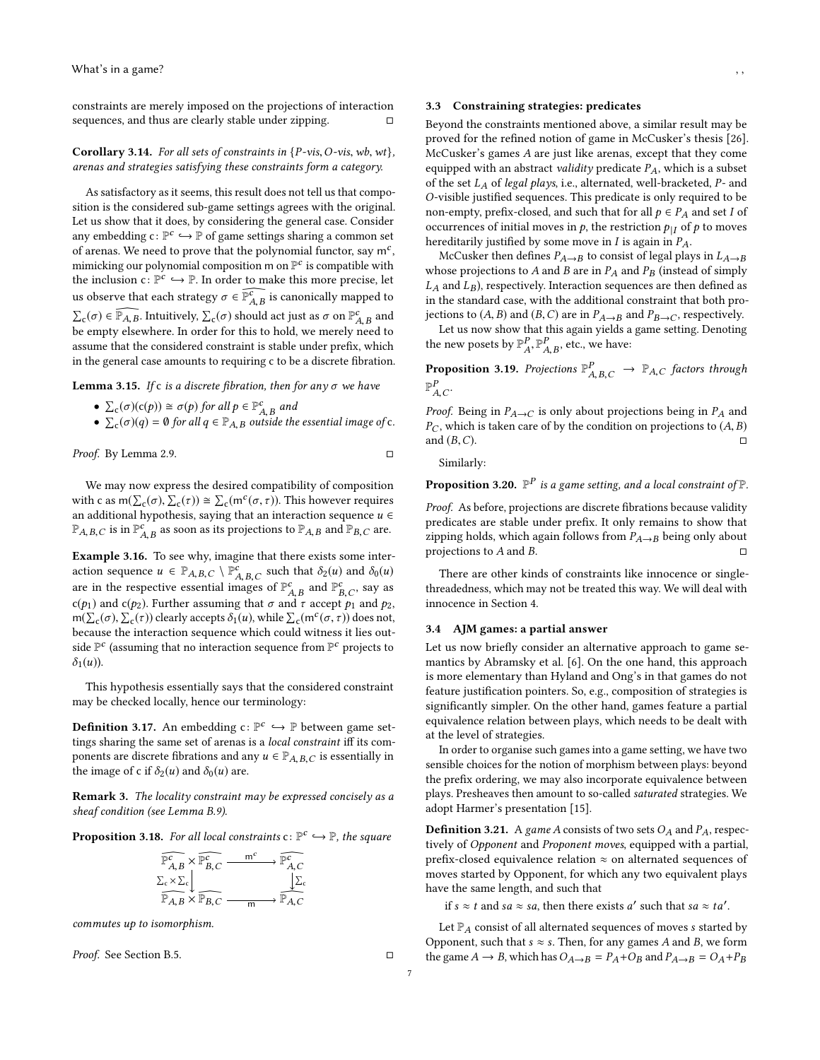constraints are merely imposed on the projections of interaction sequences, and thus are clearly stable under zipping.  $□$ 

**Corollary 3.14.** For all sets of constraints in  $\{P\text{-vis}, O\text{-vis}, wb, wt\}$ , arenas and strategies satisfying these constraints form a category.

As satisfactory as it seems, this result does not tell us that composition is the considered sub-game settings agrees with the original. Let us show that it does, by considering the general case. Consider any embedding  $c \colon \mathbb{P}^c \hookrightarrow \mathbb{P}$  of game settings sharing a common set<br>of arenas. We need to prove that the polynomial functor, say  $m^c$ of arenas. We need to prove that the polynomial functor, say  $\mathsf{m}^c$ , mimicking our polynomial composition m on  $\mathbb{P}^{\mathcal{C}}$  is compatible with the inclusion  $c: \mathbb{P}^c \hookrightarrow \mathbb{P}$ . In order to make this more precise, let us observe that each strategy  $\sigma \in \widehat{\mathbb{P}_{A,B}^c}$  is canonically mapped to  $\Sigma_c(\sigma) \in \widehat{\mathbb{P}_{A,B}}$ . Intuitively,  $\Sigma_c(\sigma)$  should act just as  $\sigma$  on  $\mathbb{P}_{A,B}^c$  and be empty elsewhere. In order for this to hold, we merely need to assume that the considered constraint is stable under prefix, which in the general case amounts to requiring c to be a discrete fibration.

Lemma 3.15. If c is a discrete fibration, then for any  $\sigma$  we have

- $\sum_{c} (\sigma)(c(p)) \cong \sigma(p)$  for all  $p \in \mathbb{P}_{A,B}^{c}$  and
- $\sum_{c}(\sigma)(q) = \emptyset$  for all  $q \in \mathbb{P}_{A,B}$  outside the essential image of c.

Proof. By Lemma [2.9.](#page-3-4) □

 $\overline{\phantom{0}}$ 

We may now express the desired compatibility of composition with c as  $m(\sum_{c}(\sigma), \sum_{c}(\tau)) \cong \sum_{c} (m^{c}(\sigma, \tau))$ . This however requires an additional hypothesis, saying that an interaction sequence  $u \in$  $\mathbb{P}_{A,B,C}$  is in  $\mathbb{P}_{A,B}^c$  as soon as its projections to  $\mathbb{P}_{A,B}$  and  $\mathbb{P}_{B,C}$  are.

Example 3.16. To see why, imagine that there exists some interaction sequence  $u \in \mathbb{P}_{A,B,C} \setminus \mathbb{P}_{A,B,C}^c$  such that  $\delta_2(u)$  and  $\delta_0(u)$ are in the respective essential images of  $\mathbb{P}^c_{A,B}$  and  $\mathbb{P}^c_{B,C}$ , say as  $c(p_1)$  and  $c(p_2)$ . Further assuming that  $\sigma$  and  $\tau$  accept  $p_1$  and  $p_2$ ,<br> $m(\sum (\sigma) \sum (\tau)$  clearly accepts  $\delta_{\tau}(u)$  while  $\sum (m^c(\sigma, \tau))$  does not m( $\Sigma_c(\sigma)$ ,  $\Sigma_c(\tau)$ ) clearly accepts  $\delta_1(u)$ , while  $\Sigma_c(m^c(\sigma, \tau))$  does not, because the interaction sequence which could witness it lies outside  $\mathbb{P}^c$  (assuming that no interaction sequence from  $\mathbb{P}^c$  projects to  $\delta_1(u)$ ).

This hypothesis essentially says that the considered constraint may be checked locally, hence our terminology:

**Definition 3.17.** An embedding  $c: \mathbb{P}^c \hookrightarrow \mathbb{P}$  between game set-<br>tings sharing the same set of arenas is a *local constraint* iff its comtings sharing the same set of arenas is a local constraint iff its components are discrete fibrations and any  $u \in \mathbb{P}_{A,B,C}$  is essentially in the image of c if  $\delta_2(u)$  and  $\delta_0(u)$  are.

Remark 3. The locality constraint may be expressed concisely as a sheaf condition (see Lemma [B.9\)](#page-16-0).

<span id="page-6-2"></span>**Proposition 3.18.** For all local constraints  $c: \mathbb{P}^c \hookrightarrow \mathbb{P}$ , the square

$$
\overbrace{\mathbb{P}_{A,B}^{c}}^{\mathbb{P}_{A}^{c}} \times \overbrace{\mathbb{P}_{B,C}^{c}} \xrightarrow{m^{c}} \overbrace{\mathbb{P}_{A,C}^{c}}^{\mathbb{P}_{A,C}^{c}}
$$
  

$$
\overbrace{\mathbb{P}_{A,B}}^{\mathbb{P}_{A,B}} \times \overbrace{\mathbb{P}_{B,C}}^{\mathbb{P}_{B,C}} \xrightarrow{m} \overbrace{\mathbb{P}_{A,C}}^{\mathbb{P}_{A,C}}
$$

commutes up to isomorphism.

Proof. See Section [B.5.](#page-16-1) □

#### <span id="page-6-1"></span>3.3 Constraining strategies: predicates

Beyond the constraints mentioned above, a similar result may be proved for the refined notion of game in McCusker's thesis [\[26\]](#page-10-16). McCusker's games A are just like arenas, except that they come equipped with an abstract validity predicate  $P_A$ , which is a subset of the set  $L_A$  of legal plays, i.e., alternated, well-bracketed,  $P$ - and O-visible justified sequences. This predicate is only required to be non-empty, prefix-closed, and such that for all  $p \in P_A$  and set I of occurrences of initial moves in  $p$ , the restriction  $p_{|I}$  of  $p$  to moves hereditarily justified by some move in  $I$  is again in  $P_A$ .

McCusker then defines  $P_{A\rightarrow B}$  to consist of legal plays in  $L_{A\rightarrow B}$ whose projections to A and B are in  $P_A$  and  $P_B$  (instead of simply  $L_A$  and  $L_B$ ), respectively. Interaction sequences are then defined as in the standard case, with the additional constraint that both projections to  $(A, B)$  and  $(B, C)$  are in  $P_{A\rightarrow B}$  and  $P_{B\rightarrow C}$ , respectively.

Let us now show that this again yields a game setting. Denoting the new posets by  $\mathbb{P}_{A}^{P}, \mathbb{P}_{A,B}^{P}$ , etc., we have:

**Proposition 3.19.** Projections  $\mathbb{P}_{A,B,C}^P \to \mathbb{P}_{A,C}$  factors through  $\mathbb{P}_P^P$  $\mathbb{P}^P_{A,C}$ 

*Proof.* Being in  $P_{A\to C}$  is only about projections being in  $P_A$  and  $P_{\alpha}$  which is taken care of by the condition on projections to (4, B)  $P_C$ , which is taken care of by the condition on projections to  $(A, B)$  and  $(B, C)$ . and  $(B, C)$ . □

Similarly:

**Proposition 3.20.**  $\mathbb{P}^P$  is a game setting, and a local constraint of  $\mathbb{P}$ .

Proof. As before, projections are discrete fibrations because validity predicates are stable under prefix. It only remains to show that zipping holds, which again follows from  $P_{A\rightarrow B}$  being only about projections to  $A$  and  $B$ .

There are other kinds of constraints like innocence or singlethreadedness, which may not be treated this way. We will deal with innocence in Section [4.](#page-7-0)

#### <span id="page-6-0"></span>3.4 AJM games: a partial answer

Let us now briefly consider an alternative approach to game semantics by Abramsky et al. [\[6\]](#page-10-0). On the one hand, this approach is more elementary than Hyland and Ong's in that games do not feature justification pointers. So, e.g., composition of strategies is significantly simpler. On the other hand, games feature a partial equivalence relation between plays, which needs to be dealt with at the level of strategies.

In order to organise such games into a game setting, we have two sensible choices for the notion of morphism between plays: beyond the prefix ordering, we may also incorporate equivalence between plays. Presheaves then amount to so-called saturated strategies. We adopt Harmer's presentation [\[15\]](#page-10-5).

**Definition 3.21.** A game A consists of two sets  $O_A$  and  $P_A$ , respectively of Opponent and Proponent moves, equipped with a partial, prefix-closed equivalence relation  $\approx$  on alternated sequences of moves started by Opponent, for which any two equivalent plays have the same length, and such that

if  $s \approx t$  and  $sa \approx sa$ , then there exists a' such that  $sa \approx ta'$ .

Let  $\mathbb{P}_A$  consist of all alternated sequences of moves  $s$  started by Opponent, such that  $s \approx s$ . Then, for any games A and B, we form the game  $A \rightarrow B$ , which has  $O_{A\rightarrow B} = P_A + O_B$  and  $P_{A\rightarrow B} = O_A + P_B$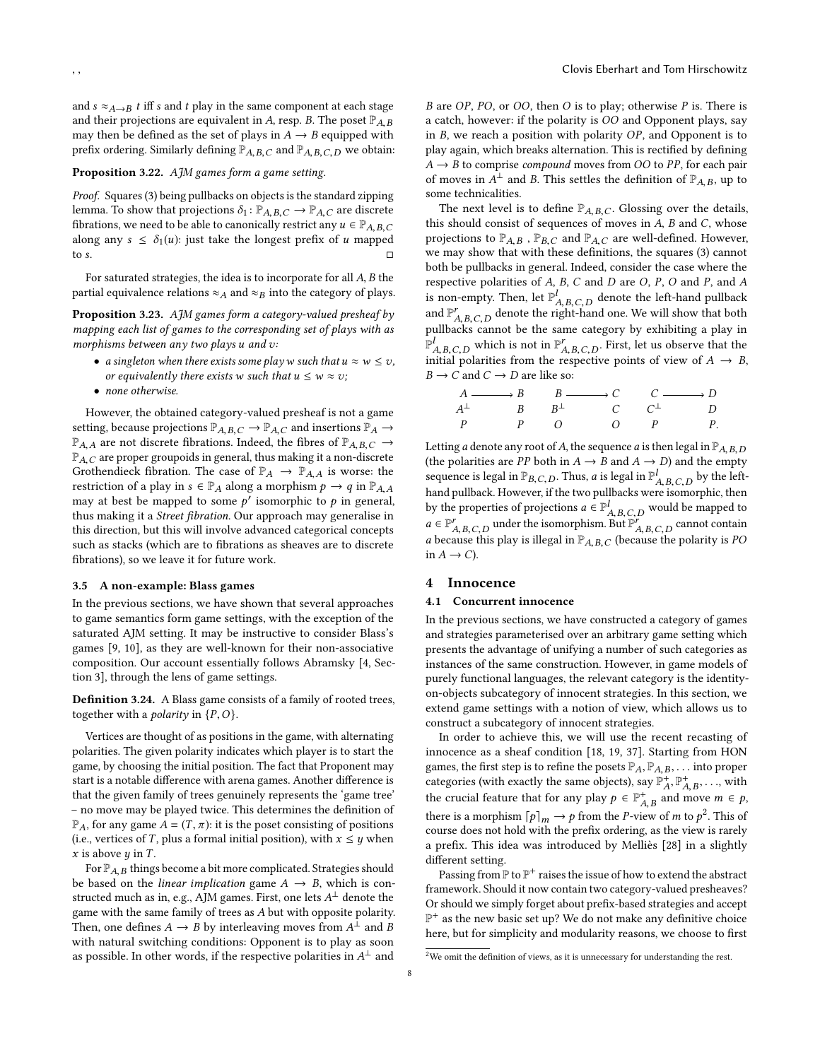and  $s \approx_{A\rightarrow B} t$  iff s and t play in the same component at each stage and their projections are equivalent in A, resp. B. The poset  $\mathbb{P}_{A,B}$ may then be defined as the set of plays in  $A \rightarrow B$  equipped with prefix ordering. Similarly defining  $\mathbb{P}_{A,B,C}$  and  $\mathbb{P}_{A,B,C,D}$  we obtain:

## Proposition 3.22. AJM games form a game setting.

Proof. Squares [\(3\)](#page-3-2) being pullbacks on objects is the standard zipping lemma. To show that projections  $\delta_1 : \mathbb{P}_{A,B,C} \to \mathbb{P}_{A,C}$  are discrete fibrations, we need to be able to canonically restrict any  $u \in \mathbb{P}_{A,B,C}$ along any  $s \leq \delta_1(u)$ : just take the longest prefix of u mapped to s to s.  $\Box$ 

For saturated strategies, the idea is to incorporate for all A, B the partial equivalence relations  $\approx_A$  and  $\approx_B$  into the category of plays.

**Proposition 3.23.** AJM games form a category-valued presheaf by mapping each list of games to the corresponding set of plays with as morphisms between any two plays u and v:

- a singleton when there exists some play w such that  $u \approx w \leq v$ , or equivalently there exists w such that  $u \leq w \approx v$ ;
- none otherwise.

However, the obtained category-valued presheaf is not a game setting, because projections  $\mathbb{P}_{A,B,C} \to \mathbb{P}_{A,C}$  and insertions  $\mathbb{P}_{A} \to$  $\mathbb{P}_{A,A}$  are not discrete fibrations. Indeed, the fibres of  $\mathbb{P}_{A,B,C} \to$ <br> $\mathbb{P}_{A,B,C}$  are proper groupoids in general, thus making it a non-discrete  $\mathbb{P}_{A,C}$  are proper groupoids in general, thus making it a non-discrete<br>Crothendieck fibration. The case of  $\mathbb{P}_{A,D}$   $\mathbb{P}_{A,D}$  is worse; the Grothendieck fibration. The case of  $\mathbb{P}_A \to \mathbb{P}_{A,A}$  is worse: the restriction of a play in  $s \in \mathbb{P}_A$  along a morphism  $p \to q$  in  $\mathbb{P}_{A,A}$ may at best be mapped to some  $p'$  isomorphic to p in general,<br>thus making it a *Street fibration* Our approach may generalise in thus making it a Street fibration. Our approach may generalise in this direction, but this will involve advanced categorical concepts such as stacks (which are to fibrations as sheaves are to discrete fibrations), so we leave it for future work.

#### <span id="page-7-1"></span>3.5 A non-example: Blass games

In the previous sections, we have shown that several approaches to game semantics form game settings, with the exception of the saturated AJM setting. It may be instructive to consider Blass's games [\[9,](#page-10-26) [10\]](#page-10-8), as they are well-known for their non-associative composition. Our account essentially follows Abramsky [\[4,](#page-10-17) Section 3], through the lens of game settings.

Definition 3.24. A Blass game consists of a family of rooted trees, together with a *polarity* in  $\{P, O\}$ .

Vertices are thought of as positions in the game, with alternating polarities. The given polarity indicates which player is to start the game, by choosing the initial position. The fact that Proponent may start is a notable difference with arena games. Another difference is that the given family of trees genuinely represents the 'game tree' – no move may be played twice. This determines the definition of  $\mathbb{P}_A$ , for any game  $A = (T, \pi)$ : it is the poset consisting of positions (i.e. vertices of T plus a formal initial position), with  $x \leq u$  when (i.e., vertices of T, plus a formal initial position), with  $x \leq y$  when  $x$  is above  $y$  in  $T$ .

For  $\mathbb{P}_{A,B}$  things become a bit more complicated. Strategies should be based on the *linear implication* game  $A \rightarrow B$ , which is constructed much as in, e.g., AJM games. First, one lets  $A^{\perp}$  denote the same vith the same family of trees as A but with opposite polarity game with the same family of trees as A but with opposite polarity. Then, one defines  $A \rightarrow B$  by interleaving moves from  $A^{\hat{\perp}}$  and  $B$ <br>with natural switching conditions: Opponent is to play as soon with natural switching conditions: Opponent is to play as soon as possible. In other words, if the respective polarities in  $A^{\perp}$  and

B are OP, PO, or OO, then O is to play; otherwise P is. There is a catch, however: if the polarity is OO and Opponent plays, say in B, we reach a position with polarity OP, and Opponent is to play again, which breaks alternation. This is rectified by defining  $A \rightarrow B$  to comprise *compound* moves from *OO* to *PP*, for each pair of moves in  $\overline{A}^{\perp}$  and B. This settles the definition of  $\mathbb{P}_{A,B}$ , up to some technicalities some technicalities.

The next level is to define  $\mathbb{P}_{A,B,C}$ . Glossing over the details, this should consist of sequences of moves in  $A$ ,  $B$  and  $C$ , whose projections to  $\mathbb{P}_{A,B}$ ,  $\mathbb{P}_{B,C}$  and  $\mathbb{P}_{A,C}$  are well-defined. However, we may show that with these definitions, the squares [\(3\)](#page-3-2) cannot both be pullbacks in general. Indeed, consider the case where the respective polarities of A, B, C and D are O, P, O and P, and A is non-empty. Then, let  $\mathbb{P}^l_{A,B,C,D}$  denote the left-hand pullback and  $\mathbb{P}_{A,B,C,D}^{r}$  denote the right-hand one. We will show that both pullbacks cannot be the same category by exhibiting a play in  $\mathbb{P}^l_{A.B.C.D}$  which is not in  $\mathbb{P}^r_{A.B.C.D}$ . First, let us observe that the initial polarities from the respective points of view of  $A \rightarrow B$ ,<br> $B \rightarrow C$  and  $C \rightarrow D$  are like so:  $B \to C$  and  $C \to D$  are like so:

|  | $A \longrightarrow B$ $B \longrightarrow C$ $C \longrightarrow D$ |  |
|--|-------------------------------------------------------------------|--|
|  | $A^{\perp}$ $B$ $B^{\perp}$ $C$ $C^{\perp}$ D                     |  |
|  | $P$ $P$ $Q$ $Q$ $P$ $P$ .                                         |  |

Letting a denote any root of A, the sequence a is then legal in  $\mathbb{P}_{A,B,D}$ (the polarities are PP both in  $A \rightarrow B$  and  $A \rightarrow D$ ) and the empty sequence is legal in  $\mathbb{P}_{B,C,D}$ . Thus, a is legal in  $\mathbb{P}_{A,B,C,D}^{l}$  by the left-<br>band pullboal: Hourouse if the two pullboals wave isomorphic, then hand pullback. However, if the two pullbacks were isomorphic, then by the properties of projections  $a \in \mathbb{P}^l_{A, B, C, D}$  would be mapped to  $a \in \mathbb{P}^r$  $a \in \mathbb{P}_{A,B,C,D}^{r}$  under the isomorphism. But  $\mathbb{P}_{A,B,C,D}^{r}$  cannot contain<br>c hoover this play is illegal in  $\mathbb{P}_{A,B,C,D}^{r}$  (hoover the polyrity is *PO* a because this play is illegal in  $\mathbb{P}_{A,B,C}$  (because the polarity is PO in  $A \rightarrow C$ ).

# <span id="page-7-0"></span>4 Innocence

#### 4.1 Concurrent innocence

In the previous sections, we have constructed a category of games and strategies parameterised over an arbitrary game setting which presents the advantage of unifying a number of such categories as instances of the same construction. However, in game models of purely functional languages, the relevant category is the identityon-objects subcategory of innocent strategies. In this section, we extend game settings with a notion of view, which allows us to construct a subcategory of innocent strategies.

In order to achieve this, we will use the recent recasting of innocence as a sheaf condition [\[18,](#page-10-12) [19,](#page-10-27) [37\]](#page-10-2). Starting from HON games, the first step is to refine the posets  $\mathbb{P}_A$ ,  $\mathbb{P}_{A,B}$ , ... into proper categories (with exactly the same objects), say  $\mathbb{P}_A^+$ ,  $\mathbb{P}_A^+$ ,  $\mathbb{P}_{A,B}^+$ , ..., with the crucial feature that for any play  $p \in \mathbb{P}^+_{A,B}$  and move  $m \in p$ , there is a morphism  $[p]_m \to p$  from the *P*-view of *m* to  $p^2$  $p^2$ . This of course does not hold with the prefix ordering as the view is rarely course does not hold with the prefix ordering, as the view is rarely a prefix. This idea was introduced by Melliès [\[28\]](#page-10-18) in a slightly different setting.

Passing from  $\mathbb P$  to  $\mathbb P^+$  raises the issue of how to extend the abstract framework. Should it now contain two category-valued presheaves? Or should we simply forget about prefix-based strategies and accept  $\mathbb{P}^+$  as the new basic set up? We do not make any definitive choice here, but for simplicity and modularity reasons, we choose to first

<span id="page-7-2"></span> $^{2}\mathrm{We}$  omit the definition of views, as it is unnecessary for understanding the rest.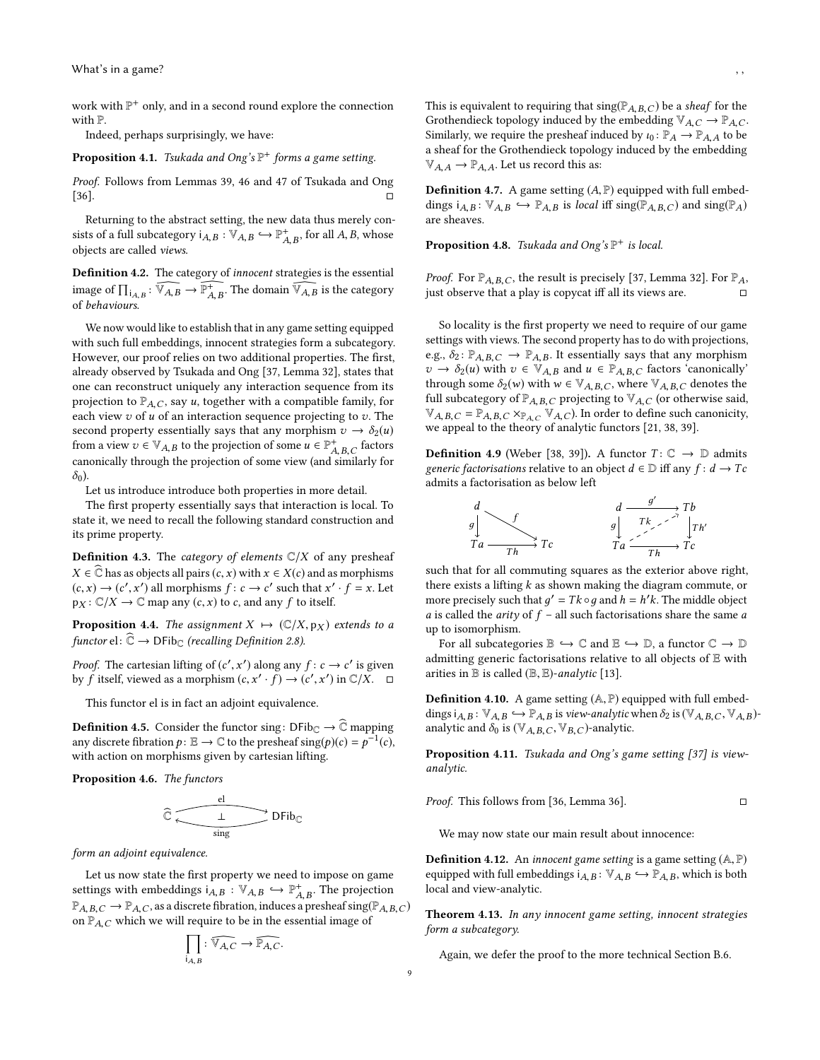work with  $\mathbb{P}^+$  only, and in a second round explore the connection with P.

Indeed, perhaps surprisingly, we have:

**Proposition 4.1.** Tsukada and Ong's  $\mathbb{P}^+$  forms a game setting.

Proof. Follows from Lemmas 39, 46 and 47 of Tsukada and Ong  $[36]$ .

Returning to the abstract setting, the new data thus merely consists of a full subcategory  $i_{A,B} : \mathbb{V}_{A,B} \hookrightarrow \mathbb{P}_{A,B}^+$ , for all  $A, B$ , whose objects are called views A,B objects are called views.

Definition 4.2. The category of innocent strategies is the essential image of  $\prod_{i_A, B}$ :  $\widehat{\mathbb{V}_{A, B}} \to \widehat{\mathbb{P}_{A, B}^+}$ . The domain  $\widehat{\mathbb{V}_{A, B}}$  is the category  $\overline{\phantom{a}}$ of behaviours.

We now would like to establish that in any game setting equipped with such full embeddings, innocent strategies form a subcategory. However, our proof relies on two additional properties. The first, already observed by Tsukada and Ong [\[37,](#page-10-2) Lemma 32], states that one can reconstruct uniquely any interaction sequence from its projection to  $\mathbb{P}_{A,C}$ , say u, together with a compatible family, for each view  $v$  of  $u$  of an interaction sequence projecting to  $v$ . The second property essentially says that any morphism  $v \to \delta_2(u)$ from a view  $v \in V_{A,B}$  to the projection of some  $u \in \mathbb{P}^+_{A,B,C}$  factors canonically through the projection of some view (and similarly for  $\delta_0$ ).

Let us introduce introduce both properties in more detail.

The first property essentially says that interaction is local. To state it, we need to recall the following standard construction and its prime property.

**Definition 4.3.** The *category of elements*  $\mathbb{C}/X$  of any presheaf  $X \in \widehat{\mathbb{C}}$  has as objects all pairs  $(c, x)$  with  $x \in X(c)$  and as morphisms  $(c, x) \rightarrow (c', x')$  all morphisms  $f : c \rightarrow c'$  such that  $x' \cdot f = x$ . Let  $p_X: \mathbb{C}/X \to \mathbb{C}$  map any  $(c, x)$  to c, and any f to itself.

**Proposition 4.4.** The assignment  $X \mapsto (\mathbb{C}/X, p_X)$  extends to a functor el:  $\widehat{\mathbb{C}} \to \mathsf{DFib}_{\mathbb{C}}$  (recalling Definition [2.8\)](#page-3-5).

*Proof.* The cartesian lifting of  $(c', x')$  along any  $f : c \to c'$  is given<br>by f itself viewed as a morphism  $(c, x', f) \to (c', x')$  in  $C/X$ by f itself, viewed as a morphism  $(c, x' \cdot f) \rightarrow (c'$  $\ddot{x}$  $\int$ ) in  $\mathbb{C}/X$ .  $\Box$ 

This functor el is in fact an adjoint equivalence.

**Definition 4.5.** Consider the functor sing: DFib<sub>C</sub>  $\rightarrow \widehat{\mathbb{C}}$  mapping any discrete fibration  $p: \mathbb{E} \to \mathbb{C}$  to the presheaf  $\text{sing}(p)(c) = p^{-1}(c)$ , with action on morphisms given by cartesian lifting.

<span id="page-8-0"></span>Proposition 4.6. The functors

$$
\widehat{\mathbb{C}}\xrightarrow[\text{sing}]{\text{el}}DFib_{\mathbb{C}}
$$

form an adjoint equivalence.

Let us now state the first property we need to impose on game settings with embeddings  $i_{A,B} : \mathbb{V}_{A,B} \hookrightarrow \mathbb{P}_{A,B}^+$ . The projection  $\mathbb{P}_{A,B,C} \to \mathbb{P}_{A,C}$ , as a discrete fibration, induces a presheaf sing( $\mathbb{P}_{A,B,C}$ )<br>on  $\mathbb{P}_{A,B,C}$  which we will require to be in the essential image of on  $\mathbb{P}_{A,C}$  which we will require to be in the essential image of

$$
\prod_{\mathbf{i}_{A,B}}:\widehat{\mathbb{V}_{A,C}}\to\widehat{\mathbb{P}_{A,C}}.
$$

This is equivalent to requiring that  $\text{sing}(\mathbb{P}_{A,B,C})$  be a sheaf for the Grothendieck topology induced by the embedding  $\mathbb{V}_{A,C} \to \mathbb{P}_{A,C}$ . Similarly, we require the presheaf induced by  $\iota_0 \colon \mathbb{P}_A \to \mathbb{P}_{A,A}$  to be a sheaf for the Grothendieck topology induced by the embedding  $\mathbb{V}_{A,A} \to \mathbb{P}_{A,A}$ . Let us record this as:

**Definition 4.7.** A game setting  $(A, \mathbb{P})$  equipped with full embeddings  $i_{A,B}$ :  $\mathbb{V}_{A,B} \hookrightarrow \mathbb{P}_{A,B}$  is local iff sing( $\mathbb{P}_{A,B,C}$ ) and sing( $\mathbb{P}_{A}$ ) are sheaves.

**Proposition 4.8.** Tsukada and Ong's  $\mathbb{P}^+$  is local.

*Proof.* For  $\mathbb{P}_{A,B,C}$ , the result is precisely [\[37,](#page-10-2) Lemma 32]. For  $\mathbb{P}_{A}$ , just observe that a play is copycat iff all its views are.

So locality is the first property we need to require of our game settings with views. The second property has to do with projections, e.g.,  $\delta_2$ :  $\mathbb{P}_{A,B,C} \to \mathbb{P}_{A,B}$ . It essentially says that any morphism  $v \to \delta_2(u)$  with  $v \in \mathbb{V}_{A,B}$  and  $u \in \mathbb{P}_{A,B,C}$  factors 'canonically' through some  $\delta_2(w)$  with  $w \in \mathbb{V}_{A,B,C}$ , where  $\mathbb{V}_{A,B,C}$  denotes the full subcategory of  $\mathbb{P}_{A,B,C}$  projecting to  $\mathbb{V}_{A,C}$  (or otherwise said,  $\mathbb{V}_{A,B,C} = \mathbb{P}_{A,B,C} \times_{\mathbb{P}_{A,C}} \mathbb{V}_{A,C}$ ). In order to define such canonicity, we appeal to the theory of analytic functors [\[21,](#page-10-29) [38,](#page-10-30) [39\]](#page-10-31).

**Definition 4.9** (Weber [\[38,](#page-10-30) [39\]](#page-10-31)). A functor  $T: \mathbb{C} \to \mathbb{D}$  admits generic factorisations relative to an object  $d \in \mathbb{D}$  iff any  $f : d \rightarrow Tc$ admits a factorisation as below left

$$
\begin{array}{ccc}\n d & d & \xrightarrow{g'} & Tb \\
 g & & g & \xrightarrow{Tk & & \uparrow b \\
 Ta & \xrightarrow{Th} & Tc & & Ta \xrightarrow{Th} & Tc\n\end{array}
$$

such that for all commuting squares as the exterior above right, there exists a lifting  $k$  as shown making the diagram commute, or more precisely such that  $g' = Tk \circ g$  and  $h = h'k$ . The middle object a is called the arity of  $f = \text{all}$  such factorisations share the same a a is called the arity of  $f$  – all such factorisations share the same a up to isomorphism.

For all subcategories  $\mathbb{B} \hookrightarrow \mathbb{C}$  and  $\mathbb{E} \hookrightarrow \mathbb{D}$ , a functor  $\mathbb{C} \to \mathbb{D}$ admitting generic factorisations relative to all objects of E with arities in  $\mathbb B$  is called  $(\mathbb B, \mathbb E)$ -analytic [\[13\]](#page-10-32).

**Definition 4.10.** A game setting  $(A, \mathbb{P})$  equipped with full embeddings  $i_{A,B}$ :  $\mathbb{V}_{A,B} \hookrightarrow \mathbb{P}_{A,B}$  is view-analytic when  $\delta_2$  is  $(\mathbb{V}_{A,B,C}, \mathbb{V}_{A,B})$ analytic and  $\delta_0$  is ( $\mathbb{V}_{A,B,C}, \mathbb{V}_{B,C}$ )-analytic.

Proposition 4.11. Tsukada and Ong's game setting [\[37\]](#page-10-2) is viewanalytic.

*Proof.* This follows from [36, Lemma 36]. 
$$
\Box
$$

We may now state our main result about innocence:

**Definition 4.12.** An *innocent game setting* is a game setting  $(A, P)$ equipped with full embeddings  $i_{A,B} : \mathbb{V}_{A,B} \hookrightarrow \mathbb{P}_{A,B}$ , which is both local and view-analytic.

<span id="page-8-1"></span>Theorem 4.13. In any innocent game setting, innocent strategies form a subcategory.

Again, we defer the proof to the more technical Section [B.6.](#page-16-2)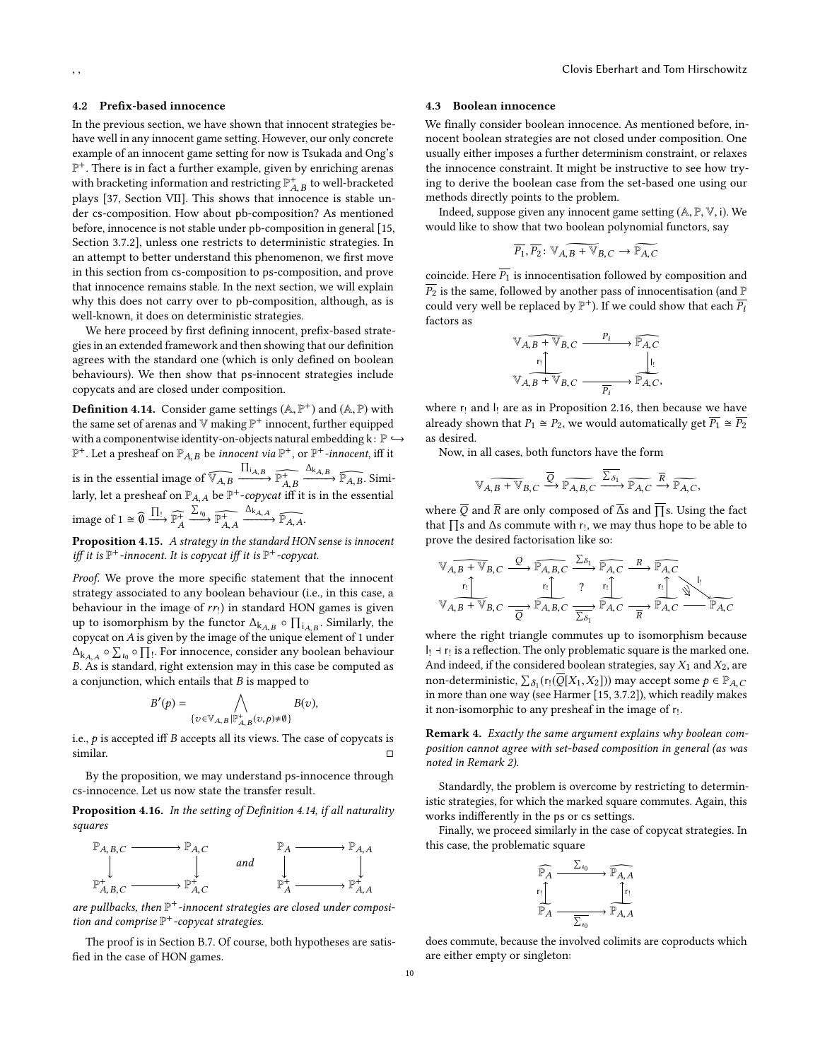#### <span id="page-9-0"></span>4.2 Prefix-based innocence

In the previous section, we have shown that innocent strategies behave well in any innocent game setting. However, our only concrete example of an innocent game setting for now is Tsukada and Ong's P <sup>+</sup>. There is in fact a further example, given by enriching arenas with bracketing information and restricting  $\mathbb{P}^+_{AB}$  to well-bracketed plays [\[37,](#page-10-2) Section VII]. This shows that innocence is stable under cs-composition. How about pb-composition? As mentioned before, innocence is not stable under pb-composition in general [\[15,](#page-10-5) Section 3.7.2], unless one restricts to deterministic strategies. In an attempt to better understand this phenomenon, we first move in this section from cs-composition to ps-composition, and prove that innocence remains stable. In the next section, we will explain why this does not carry over to pb-composition, although, as is well-known, it does on deterministic strategies.

We here proceed by first defining innocent, prefix-based strategies in an extended framework and then showing that our definition agrees with the standard one (which is only defined on boolean behaviours). We then show that ps-innocent strategies include copycats and are closed under composition.

<span id="page-9-2"></span>**Definition 4.14.** Consider game settings  $(A, \mathbb{P}^+)$  and  $(A, \mathbb{P})$  with the same set of graps and  $\mathbb{V}$  making  $\mathbb{P}^+$  inposent, further equipped the same set of arenas and  $\mathbb {V}$  making  $\mathbb {P}^+$  innocent, further equipped with a componentwise identity-on-objects natural embedding  $k: \mathbb{P} \hookrightarrow$  $\mathbb{P}^+$ . Let a presheaf on  $\mathbb{P}_{A,B}$  be *innocent via*  $\mathbb{P}^+$ , or  $\mathbb{P}^+$ *-innocent*, iff it is in the essential image of  $\widehat{V_{A,B}}$   $\xrightarrow{\prod_{A,B}} \widehat{\mathbb{P}_{A,B}^+}$ <br>larly let a presheaf on  $\mathbb{P}_{A,B}$  be  $\mathbb{P}^+$ -convert iff  $\xrightarrow{\Delta_{k_{A,B}}} \widehat{\mathbb{P}_{A,B}}$ . Similarly, let a presheaf on  $\mathbb{P}_{A,A}$  be  $\mathbb{P}^+$ -copycat iff it is in the essential image of  $1 \cong \widehat{\theta} \xrightarrow{\prod_?} \widehat{\mathbb{P}_A^+} \xrightarrow{\sum_{i_0}} \widehat{\mathbb{P}_{A,A}^+} \xrightarrow{\Delta_{k_{A,A}}} \widehat{\mathbb{P}_{A,A}}$ .

A A,A Proposition 4.15. A strategy in the standard HON sense is innocent iff it is  $\mathbb{P}^+$ -innocent. It is copycat iff it is  $\mathbb{P}^+$ -copycat.

Proof. We prove the more specific statement that the innocent strategy associated to any boolean behaviour (i.e., in this case, a behaviour in the image of  $rr_!$ ) in standard HON games is given<br>up to isomorphism by the functor  $\Lambda_1 = 0$   $\Pi_2 = 0$  Similarly, the up to isomorphism by the functor  $\Delta_{k,A,B} \circ \prod_{i} A_{i,B}$ . Similarly, the convect on 4 is given by the image of the unique element of 1 under copycat on A is given by the image of the unique element of <sup>1</sup> under  $\Delta_{k_{A,A}} \circ \Sigma_{t_0} \circ \prod_1$ . For innocence, consider any boolean behaviour  $\Delta_{kA,A} \sim \Delta t_0 \sim 11$ . For influence, consider any boolean behaviour B.<br>B. As is standard, right extension may in this case be computed as a conjunction, which entails that *B* is mapped to<br>  $B'(n) = \bigwedge_{B \mid n} B(n)$ 

$$
S'(p) = \bigwedge_{\{v \in \mathbb{V}_{A,B} | \mathbb{P}_{A,B}^+(v,p) \neq \emptyset\}} B(v),
$$

i.e.,  $p$  is accepted iff B accepts all its views. The case of copycats is similar similar. □

By the proposition, we may understand ps-innocence through cs-innocence. Let us now state the transfer result.

<span id="page-9-3"></span>Proposition 4.16. In the setting of Definition [4.14,](#page-9-2) if all naturality squares



are pullbacks, then  $\mathbb{P}^+$ -innocent strategies are closed under composition and comprise  $\mathbb{P}^+$ -copycat strategies.

The proof is in Section [B.7.](#page-16-3) Of course, both hypotheses are satisfied in the case of HON games.

#### <span id="page-9-1"></span>4.3 Boolean innocence

We finally consider boolean innocence. As mentioned before, innocent boolean strategies are not closed under composition. One usually either imposes a further determinism constraint, or relaxes the innocence constraint. It might be instructive to see how trying to derive the boolean case from the set-based one using our methods directly points to the problem.

Indeed, suppose given any innocent game setting (A, <sup>P</sup>, <sup>V</sup>, <sup>i</sup>). We would like to show that two boolean polynomial functors, say

$$
\overline{P_1}, \overline{P_2} : \mathbb{V}_{A,B} \to \mathbb{V}_{B,C} \to \widetilde{\mathbb{P}_{A,C}}
$$

coincide. Here  $\overline{P_1}$  is innocentisation followed by composition and  $\overline{P_2}$  is the same, followed by another pass of innocentisation (and  $\mathbb P$ could very well be replaced by  $\mathbb{P}^+$ ). If we could show that each  $\overline{P}_i$ factors as

$$
\begin{array}{ccc}\n\mathbb{V}_{A,B} + \mathbb{V}_{B,C} & \xrightarrow{P_i} & \mathbb{P}_{A,C} \\
\mathbb{I} & & \downarrow \mathbb{I} \\
\mathbb{V}_{A,B} + \mathbb{V}_{B,C} & \xrightarrow{\mathbb{P}_{A}} & \mathbb{P}_{A,C},\n\end{array}
$$

where  $r_!$  and  $l_!$  are as in Proposition [2.16,](#page-4-5) then because we have already shown that  $P_1 \cong P_2$ , we would automatically get  $P_1 \cong P_2$ as desired.

Now, in all cases, both functors have the form

$$
\widetilde{\mathbb{V}_{A,B}+\mathbb{V}_{B,C}} \xrightarrow{\overline{Q}} \widetilde{\mathbb{P}_{A,B,C}} \xrightarrow{\overline{\Sigma_{\delta_1}}} \widetilde{\mathbb{P}_{A,C}} \xrightarrow{\overline{R}} \widetilde{\mathbb{P}_{A,C}},
$$

where  $\overline{Q}$  and  $\overline{R}$  are only composed of  $\overline{\Delta}$ s and  $\overline{\Pi}$ s. Using the fact that  $\prod$ s and  $\Delta$ s commute with r<sub>!</sub>, we may thus hope to be able to prove the desired factorisation like so: prove the desired factorisation like so:

$$
\begin{array}{ccc}\n\mathbb{V}_{A,B} & \mathbb{V}_{B,C} & \xrightarrow{\mathbb{P}_{A,B,C}} & \xrightarrow{\Sigma_{\delta_1}} & \mathbb{P}_{A,C} & \xrightarrow{R} & \mathbb{P}_{A,C} \\
\mathbb{V}_{A,B} & \mathbb{V}_{B,C} & \xrightarrow{r_1} & \mathbb{P}_{A,B,C} & \xrightarrow{r_1} & \mathbb{P}_{A,C} \\
\hline\n\mathbb{V}_{A,B} & \mathbb{V}_{B,C} & \xrightarrow{\overline{Q}} & \mathbb{P}_{A,B,C} & \xrightarrow{\overline{\Sigma_{\delta_1}}} & \mathbb{P}_{A,C} & \xrightarrow{\overline{R}} & \mathbb{P}_{A,C} & \xrightarrow{\mathbb{P}_{A,C}} \\
\end{array}
$$

where the right triangle commutes up to isomorphism because  $|$ <sub>!</sub> ⊣ r<sub>!</sub> is a reflection. The only problematic square is the marked one. And indeed, if the considered boolean strategies, say  $X_1$  and  $X_2$ , are non-deterministic,  $\sum_{\delta_1}(r_1(\overline{Q}[X_1,X_2]))$  may accept some  $p \in \mathbb{P}_{A,C}$ <br>in more than one way (see Harmer [15, 3,7.2]), which readily makes in more than one way (see Harmer [\[15,](#page-10-5) 3.7.2]), which readily makes it non-isomorphic to any presheaf in the image of  $r<sub>1</sub>$ .

Remark 4. Exactly the same argument explains why boolean composition cannot agree with set-based composition in general (as was noted in Remark [2\)](#page-4-6).

Standardly, the problem is overcome by restricting to deterministic strategies, for which the marked square commutes. Again, this works indifferently in the ps or cs settings.

Finally, we proceed similarly in the case of copycat strategies. In this case, the problematic square



does commute, because the involved colimits are coproducts which are either empty or singleton: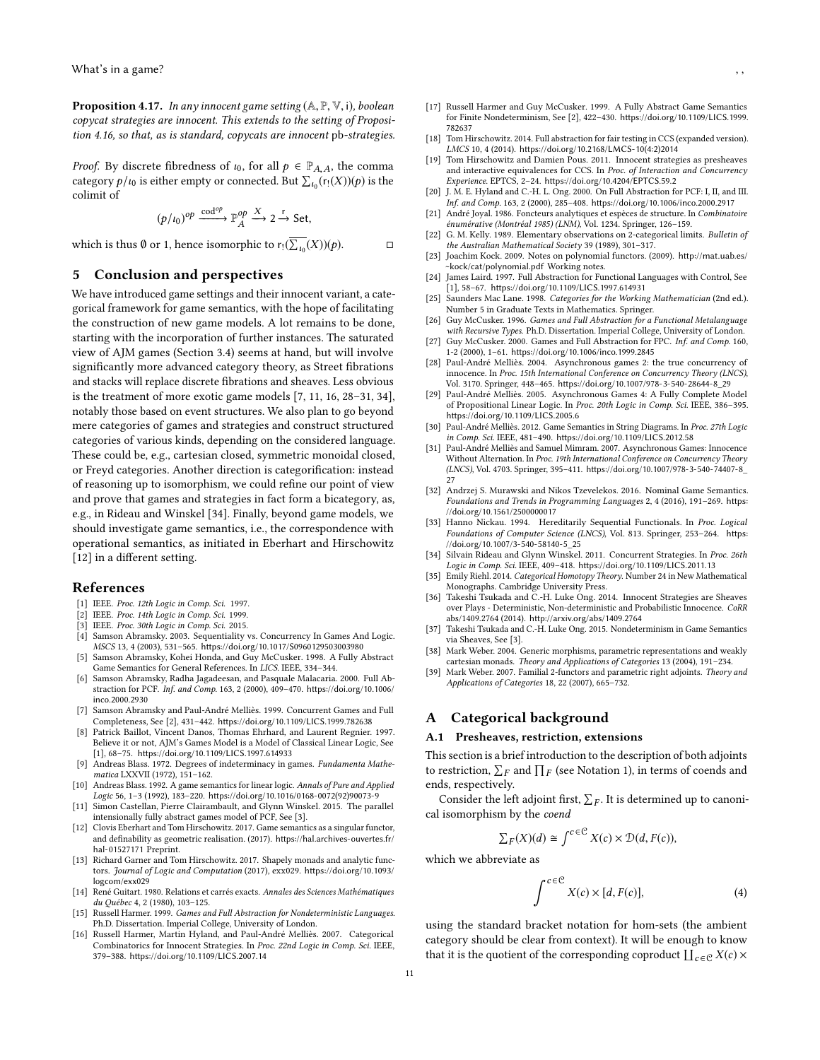**Proposition 4.17.** In any innocent game setting  $(A, P, V, i)$ , boolean copycat strategies are innocent. This extends to the setting of Proposition [4.16,](#page-9-3) so that, as is standard, copycats are innocent pb-strategies.

*Proof.* By discrete fibredness of  $\iota_0$ , for all  $p \in \mathbb{P}_{A,A}$ , the comma category  $p/\iota_0$  is either empty or connected. But  $\sum_{\iota_0} (r_1(X))(p)$  is the colimit of colimit of

$$
(p/\iota_0)^{op} \xrightarrow{\mathrm{cod}^{op}} \mathbb{P}_A^{op} \xrightarrow{X} 2 \xrightarrow{\mathrm{r}} \mathrm{Set},
$$

which is thus  $\emptyset$  or 1, hence isomorphic to  $r_! (\overline{\sum_{t_0}}(X))(p)$ .

# <span id="page-10-20"></span>5 Conclusion and perspectives

We have introduced game settings and their innocent variant, a categorical framework for game semantics, with the hope of facilitating the construction of new game models. A lot remains to be done, starting with the incorporation of further instances. The saturated view of AJM games (Section [3.4\)](#page-6-0) seems at hand, but will involve significantly more advanced category theory, as Street fibrations and stacks will replace discrete fibrations and sheaves. Less obvious is the treatment of more exotic game models [\[7,](#page-10-33) [11,](#page-10-34) [16,](#page-10-9) [28](#page-10-18)[–31,](#page-10-35) [34\]](#page-10-13), notably those based on event structures. We also plan to go beyond mere categories of games and strategies and construct structured categories of various kinds, depending on the considered language. These could be, e.g., cartesian closed, symmetric monoidal closed, or Freyd categories. Another direction is categorification: instead of reasoning up to isomorphism, we could refine our point of view and prove that games and strategies in fact form a bicategory, as, e.g., in Rideau and Winskel [\[34\]](#page-10-13). Finally, beyond game models, we should investigate game semantics, i.e., the correspondence with operational semantics, as initiated in Eberhart and Hirschowitz [\[12\]](#page-10-19) in a different setting.

#### References

- <span id="page-10-37"></span>[1] IEEE. Proc. 12th Logic in Comp. Sci. 1997.
- <span id="page-10-36"></span>IEEE. Proc. 14th Logic in Comp. Sci. 1999.
- <span id="page-10-38"></span>[3] IEEE. Proc. 30th Logic in Comp. Sci. 2015.
- <span id="page-10-17"></span>[4] Samson Abramsky. 2003. Sequentiality vs. Concurrency In Games And Logic. MSCS 13, 4 (2003), 531–565. <https://doi.org/10.1017/S0960129503003980> [5] Samson Abramsky, Kohei Honda, and Guy McCusker. 1998. A Fully Abstract
- <span id="page-10-4"></span>Game Semantics for General References. In LICS. IEEE, 334–344.
- <span id="page-10-0"></span>[6] Samson Abramsky, Radha Jagadeesan, and Pasquale Malacaria. 2000. Full Abstraction for PCF. Inf. and Comp. 163, 2 (2000), 409–470. [https://doi.org/10.1006/](https://doi.org/10.1006/inco.2000.2930) [inco.2000.2930](https://doi.org/10.1006/inco.2000.2930)
- <span id="page-10-33"></span>[7] Samson Abramsky and Paul-André Melliès. 1999. Concurrent Games and Full Completeness, See [\[2\]](#page-10-36), 431–442. <https://doi.org/10.1109/LICS.1999.782638>
- <span id="page-10-24"></span>[8] Patrick Baillot, Vincent Danos, Thomas Ehrhard, and Laurent Regnier. 1997. Believe it or not, AJM's Games Model is a Model of Classical Linear Logic, See [\[1\]](#page-10-37), 68–75. <https://doi.org/10.1109/LICS.1997.614933>
- <span id="page-10-26"></span>[9] Andreas Blass. 1972. Degrees of indeterminacy in games. Fundamenta Mathematica LXXVII (1972), 151–162.
- <span id="page-10-8"></span>[10] Andreas Blass. 1992. A game semantics for linear logic. Annals of Pure and Applied Logic 56, 1–3 (1992), 183–220. [https://doi.org/10.1016/0168-0072\(92\)90073-9](https://doi.org/10.1016/0168-0072(92)90073-9)
- <span id="page-10-34"></span>[11] Simon Castellan, Pierre Clairambault, and Glynn Winskel. 2015. The parallel intensionally fully abstract games model of PCF, See [\[3\]](#page-10-38).
- <span id="page-10-19"></span>[12] Clovis Eberhart and Tom Hirschowitz. 2017. Game semantics as a singular functor, and definability as geometric realisation. (2017). [https://hal.archives-ouvertes.fr/](https://hal.archives-ouvertes.fr/hal-01527171) [hal-01527171](https://hal.archives-ouvertes.fr/hal-01527171) Preprint.
- <span id="page-10-32"></span>[13] Richard Garner and Tom Hirschowitz. 2017. Shapely monads and analytic functors. Journal of Logic and Computation (2017), exx029. [https://doi.org/10.1093/](https://doi.org/10.1093/logcom/exx029) [logcom/exx029](https://doi.org/10.1093/logcom/exx029)
- <span id="page-10-15"></span>[14] René Guitart. 1980. Relations et carrés exacts. Annales des Sciences Mathématiques du Québec 4, 2 (1980), 103–125.
- <span id="page-10-5"></span>[15] Russell Harmer. 1999. Games and Full Abstraction for Nondeterministic Languages. Ph.D. Dissertation. Imperial College, University of London.
- <span id="page-10-9"></span>[16] Russell Harmer, Martin Hyland, and Paul-André Melliès. 2007. Categorical Combinatorics for Innocent Strategies. In Proc. 22nd Logic in Comp. Sci. IEEE, 379–388. <https://doi.org/10.1109/LICS.2007.14>
- <span id="page-10-6"></span>[17] Russell Harmer and Guy McCusker. 1999. A Fully Abstract Game Semantics for Finite Nondeterminism, See [\[2\]](#page-10-36), 422–430. [https://doi.org/10.1109/LICS.1999.](https://doi.org/10.1109/LICS.1999.782637) [782637](https://doi.org/10.1109/LICS.1999.782637)
- <span id="page-10-12"></span>[18] Tom Hirschowitz, 2014. Full abstraction for fair testing in CCS (expanded version). LMCS 10, 4 (2014). [https://doi.org/10.2168/LMCS-10\(4:2\)2014](https://doi.org/10.2168/LMCS-10(4:2)2014)
- <span id="page-10-27"></span>[19] Tom Hirschowitz and Damien Pous. 2011. Innocent strategies as presheaves and interactive equivalences for CCS. In Proc. of Interaction and Concurrency Experience. EPTCS, 2–24. <https://doi.org/10.4204/EPTCS.59.2>
- <span id="page-10-1"></span>[20] J. M. E. Hyland and C.-H. L. Ong. 2000. On Full Abstraction for PCF: I, II, and III. Inf. and Comp. 163, 2 (2000), 285–408. <https://doi.org/10.1006/inco.2000.2917>
- <span id="page-10-29"></span>[21] André Joyal. 1986. Foncteurs analytiques et espèces de structure. In Combinatoire énumérative (Montréal 1985) (LNM), Vol. 1234. Springer, 126–159.
- <span id="page-10-39"></span>[22] G. M. Kelly. 1989. Elementary observations on 2-categorical limits. Bulletin of the Australian Mathematical Society 39 (1989), 301–317.
- <span id="page-10-14"></span>[23] Joachim Kock. 2009. Notes on polynomial functors. (2009). [http://mat.uab.es/](http://mat.uab.es/~kock/cat/polynomial.pdf) [~kock/cat/polynomial.pdf](http://mat.uab.es/~kock/cat/polynomial.pdf) Working notes.
- <span id="page-10-7"></span>[24] James Laird. 1997. Full Abstraction for Functional Languages with Control, See [\[1\]](#page-10-37), 58–67. <https://doi.org/10.1109/LICS.1997.614931>
- <span id="page-10-21"></span>[25] Saunders Mac Lane. 1998. Categories for the Working Mathematician (2nd ed.). Number 5 in Graduate Texts in Mathematics. Springer.
- <span id="page-10-16"></span>[26] Guy McCusker. 1996. Games and Full Abstraction for a Functional Metalanguage with Recursive Types. Ph.D. Dissertation. Imperial College, University of London.
- <span id="page-10-25"></span>[27] Guy McCusker. 2000. Games and Full Abstraction for FPC. Inf. and Comp. 160, 1-2 (2000), 1–61. <https://doi.org/10.1006/inco.1999.2845>
- <span id="page-10-18"></span>[28] Paul-André Melliès. 2004. Asynchronous games 2: the true concurrency of innocence. In Proc. 15th International Conference on Concurrency Theory (LNCS), Vol. 3170. Springer, 448–465. [https://doi.org/10.1007/978-3-540-28644-8\\_29](https://doi.org/10.1007/978-3-540-28644-8_29)
- [29] Paul-André Melliès. 2005. Asynchronous Games 4: A Fully Complete Model of Propositional Linear Logic. In Proc. 20th Logic in Comp. Sci. IEEE, 386–395. <https://doi.org/10.1109/LICS.2005.6>
- <span id="page-10-11"></span>[30] Paul-André Melliès. 2012. Game Semantics in String Diagrams. In Proc. 27th Logic in Comp. Sci. IEEE, 481–490. <https://doi.org/10.1109/LICS.2012.58>
- <span id="page-10-35"></span>[31] Paul-André Melliès and Samuel Mimram. 2007. Asynchronous Games: Innocence Without Alternation. In Proc. 19th International Conference on Concurrency Theory (LNCS), Vol. 4703. Springer, 395–411. [https://doi.org/10.1007/978-3-540-74407-8\\_](https://doi.org/10.1007/978-3-540-74407-8_27) [27](https://doi.org/10.1007/978-3-540-74407-8_27)
- <span id="page-10-10"></span>[32] Andrzej S. Murawski and Nikos Tzevelekos. 2016. Nominal Game Semantics. Foundations and Trends in Programming Languages 2, 4 (2016), 191–269. [https:](https://doi.org/10.1561/2500000017) [//doi.org/10.1561/2500000017](https://doi.org/10.1561/2500000017)
- <span id="page-10-3"></span>[33] Hanno Nickau. 1994. Hereditarily Sequential Functionals. In Proc. Logical Foundations of Computer Science (LNCS), Vol. 813. Springer, 253–264. [https:](https://doi.org/10.1007/3-540-58140-5_25) [//doi.org/10.1007/3-540-58140-5\\_25](https://doi.org/10.1007/3-540-58140-5_25)
- <span id="page-10-13"></span>[34] Silvain Rideau and Glynn Winskel. 2011. Concurrent Strategies. In Proc. 26th Logic in Comp. Sci. IEEE, 409–418. <https://doi.org/10.1109/LICS.2011.13>
- <span id="page-10-22"></span>[35] Emily Riehl. 2014. Categorical Homotopy Theory. Number 24 in New Mathematical Monographs. Cambridge University Press.
- <span id="page-10-28"></span>[36] Takeshi Tsukada and C.-H. Luke Ong. 2014. Innocent Strategies are Sheaves over Plays - Deterministic, Non-deterministic and Probabilistic Innocence. CoRR abs/1409.2764 (2014). <http://arxiv.org/abs/1409.2764>
- <span id="page-10-2"></span>[37] Takeshi Tsukada and C.-H. Luke Ong. 2015. Nondeterminism in Game Semantics via Sheaves, See [\[3\]](#page-10-38).
- <span id="page-10-30"></span>[38] Mark Weber. 2004. Generic morphisms, parametric representations and weakly cartesian monads. Theory and Applications of Categories 13 (2004), 191–234.
- <span id="page-10-31"></span>[39] Mark Weber. 2007. Familial 2-functors and parametric right adjoints. Theory and Applications of Categories 18, 22 (2007), 665–732.

# A Categorical background

# <span id="page-10-23"></span>A.1 Presheaves, restriction, extensions

This section is a brief introduction to the description of both adjoints to restriction,  $\sum_F$  and  $\prod_F$  (see Notation [1\)](#page-2-2), in terms of coends and ends respectively ends, respectively.

Consider the left adjoint first,  $\sum_F$ . It is determined up to canonical isomorphism by the coend

$$
\sum F(X)(d) \cong \int^{c \in \mathcal{C}} X(c) \times \mathcal{D}(d, F(c)),
$$

which we abbreviate as

$$
\int^{c \in \mathcal{C}} X(c) \times [d, F(c)], \tag{4}
$$

using the standard bracket notation for hom-sets (the ambient category should be clear from context). It will be enough to know that it is the quotient of the corresponding coproduct  $\coprod_{c\in\mathcal{C}}X(c)\times$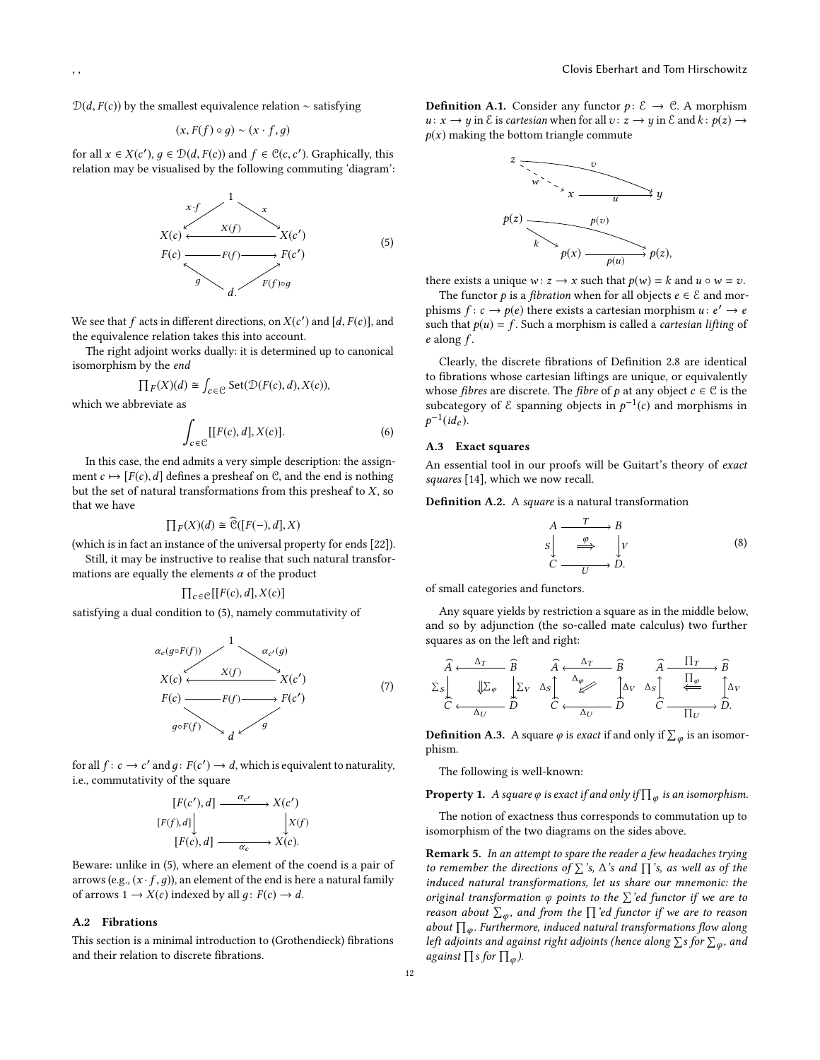$D(d, F(c))$  by the smallest equivalence relation ∼ satisfying

$$
(x, F(f) \circ g) \sim (x \cdot f, g)
$$

for all  $x \in X(c')$ ,  $g \in \mathcal{D}(d, F(c))$  and  $f \in \mathcal{C}(c, c')$ . Graphically, this relation may be visualised by the following commuting 'diagram'. relation may be visualised by the following commuting 'diagram':

<span id="page-11-0"></span>
$$
x \cdot f
$$
  
\n
$$
X(c)
$$
  
\n
$$
F(c)
$$
  
\n
$$
F(f)
$$
  
\n
$$
F(f)
$$
  
\n
$$
F(f) \circ g
$$
  
\n
$$
G(f)
$$
  
\n
$$
F(f) \circ g
$$
  
\n
$$
G(f)
$$
  
\n
$$
G(f)
$$
  
\n
$$
G(f)
$$
  
\n
$$
G(f)
$$
  
\n
$$
G(f)
$$
  
\n
$$
G(f)
$$
  
\n
$$
G(f)
$$
  
\n
$$
G(f)
$$
  
\n
$$
G(f)
$$
  
\n
$$
G(f)
$$
  
\n
$$
G(f)
$$
  
\n
$$
G(f)
$$
  
\n
$$
G(f)
$$
  
\n
$$
G(f)
$$
  
\n
$$
G(f)
$$
  
\n
$$
G(f)
$$
  
\n
$$
G(f)
$$
  
\n
$$
G(f)
$$
  
\n
$$
G(f)
$$
  
\n
$$
G(f)
$$
  
\n
$$
G(f)
$$
  
\n
$$
G(f)
$$
  
\n
$$
G
$$
  
\n
$$
G
$$
  
\n
$$
G
$$
  
\n
$$
G
$$
  
\n
$$
G
$$
  
\n
$$
G
$$
  
\n
$$
G
$$
  
\n
$$
G
$$
  
\n
$$
G
$$
  
\n
$$
G
$$
  
\n
$$
G
$$
  
\n
$$
G
$$
  
\n
$$
G
$$
  
\n
$$
G
$$
  
\n
$$
G
$$
  
\n
$$
G
$$
  
\n
$$
G
$$
  
\n
$$
G
$$
  
\n
$$
G
$$
  
\n
$$
G
$$
  
\n
$$
G
$$
  
\n
$$
G
$$
  
\n
$$
G
$$
  
\n
$$
G
$$
  
\n
$$
G
$$
  
\n
$$
G
$$
<

We see that f acts in different directions, on  $X(c')$  and  $[d, F(c)]$ , and the equivalence relation takes this into account the equivalence relation takes this into account.

The right adjoint works dually: it is determined up to canonical isomorphism by the end

$$
\prod_F(X)(d) \cong \int_{c \in \mathcal{C}} \mathsf{Set}(\mathcal{D}(F(c), d), X(c)),
$$

which we abbreviate as

$$
\int_{c \in \mathcal{C}} [[F(c), d], X(c)]. \tag{6}
$$

In this case, the end admits a very simple description: the assignment  $c \mapsto [F(c),d]$  defines a presheaf on C, and the end is nothing but the set of natural transformations from this presheaf to  $X$ , so that we have

$$
\prod_F(X)(d) \cong \mathcal{C}([F(-),d],X)
$$

 $\prod_F(X)(d) \cong \widehat{\mathcal{C}}([F(-),d],X)$ (which is in fact an instance of the universal property for ends [\[22\]](#page-10-39)).

Still, it may be instructive to realise that such natural transformations are equally the elements  $\alpha$  of the product

$$
\prod_{c \in \mathcal{C}} [[F(c), d], X(c)]
$$

 $\prod_{c \in \mathcal{C}} [[F(c),d],X(c)]$  satisfying a dual condition to [\(5\)](#page-11-0), namely commutativity of

$$
\alpha_c(g \circ F(f)) \xrightarrow{1} \alpha_{c'}(g)
$$
\n
$$
X(c) \xleftarrow{X(f)} X(c')
$$
\n
$$
F(c) \xrightarrow{F(f)} F(c')
$$
\n
$$
g \circ F(f) \xrightarrow{d} g
$$
\n(7)

for all  $f: c \to c'$  and  $g: F(c') \to d$ , which is equivalent to naturality, i.e., commutativity of the square

$$
[F(c'), d] \xrightarrow{\alpha_{c'}} X(c')
$$
  

$$
[F(f), d] \qquad \qquad \downarrow X(f)
$$
  

$$
[F(c), d] \xrightarrow{\alpha_{c}} X(c).
$$

Beware: unlike in [\(5\)](#page-11-0), where an element of the coend is a pair of arrows (e.g.,  $(x \cdot f, q)$ ), an element of the end is here a natural family of arrows  $1 \rightarrow X(c)$  indexed by all  $q: F(c) \rightarrow d$ .

αc

#### A.2 Fibrations

This section is a minimal introduction to (Grothendieck) fibrations and their relation to discrete fibrations.

**Definition A.1.** Consider any functor  $p: \mathcal{E} \to \mathcal{C}$ . A morphism  $u: x \to y$  in  $\mathcal E$  is cartesian when for all  $v: z \to y$  in  $\mathcal E$  and  $k: p(z) \to z$  $p(x)$  making the bottom triangle commute



there exists a unique  $w: z \rightarrow x$  such that  $p(w) = k$  and  $u \circ w = v$ .

The functor *p* is a *fibration* when for all objects  $e \in \mathcal{E}$  and morphisms  $f: c \to p(e)$  there exists a cartesian morphism  $u: e' \to e$ <br>such that  $p(u) = f$ . Such a morphism is called a *cartesian lifting of* such that  $p(u) = f$ . Such a morphism is called a *cartesian lifting* of  $e$  along  $f$ .

Clearly, the discrete fibrations of Definition [2.8](#page-3-5) are identical to fibrations whose cartesian liftings are unique, or equivalently whose *fibres* are discrete. The *fibre* of *p* at any object  $c \in C$  is the subcategory of  $\mathcal E$  spanning objects in  $p^{-1}(c)$  and morphisms in  $\mathbf{r}$  $^{-1}(id_c)$ .

# A.3 Exact squares

An essential tool in our proofs will be Guitart's theory of exact squares [\[14\]](#page-10-15), which we now recall.

Definition A.2. A square is a natural transformation

<span id="page-11-1"></span>
$$
A \xrightarrow{T} B
$$
  
\n
$$
S \Big| \xrightarrow{\varphi} \Big| V
$$
  
\n
$$
C \xrightarrow{U} D.
$$
  
\n(8)

of small categories and functors.

Any square yields by restriction a square as in the middle below, and so by adjunction (the so-called mate calculus) two further squares as on the left and right:

$$
\begin{array}{ccc}\n\widehat{A} & \xrightarrow{\Delta_T} & \widehat{B} & \widehat{A} & \xrightarrow{\Delta_T} & \widehat{B} & \widehat{A} & \frac{\Pi_T}{\sqrt{B}} \\
\text{S} & \downarrow & \downarrow & \downarrow & \downarrow & \downarrow & \downarrow & \downarrow \\
\text{C} & \xleftarrow{\Delta_U} & \widehat{D} & \widehat{C} & \xleftarrow{\Delta_U} & \widehat{D} & \widehat{C} & \frac{\Pi_{\varphi}}{\sqrt{C}} & \widehat{D}.\n\end{array}
$$

**Definition A.3.** A square  $\varphi$  is *exact* if and only if  $\sum_{\varphi}$  is an isomorphism phism.

The following is well-known:

**Property 1.** A square  $\varphi$  is exact if and only if  $\prod_{\varphi}$  is an isomorphism.

The notion of exactness thus corresponds to commutation up to isomorphism of the two diagrams on the sides above.

Remark 5. In an attempt to spare the reader a few headaches trying to remember the directions of  $\sum$ 's,  $\Delta$ 's and  $\prod$ 's, as well as of the induced natural transformations, let us share our mnemonic: the induced natural transformations, let us share our mnemonic: the original transformation  $\varphi$  points to the  $\sum$ 'ed functor if we are to<br>reason about  $\Sigma$  and from the  $\Pi$ 'ed functor if we are to reason reason about  $\Sigma_{\varphi}$ , and from the  $\Pi$ 'ed functor if we are to reason<br>about  $\Pi$  . Eurthermore induced natural transformations flow along about  $\prod_{\varphi}$ . Furthermore, induced natural transformations flow along<br>left adjoints and against right adjoints (hence along  $\Sigma$ s for  $\Sigma$  and left adjoints and against right adjoints (hence along  $\sum s$  for  $\sum_{\varphi}$ , and against  $\Pi s$  for  $\Pi$ against  $\prod s$  for  $\prod_{\varphi}$ ).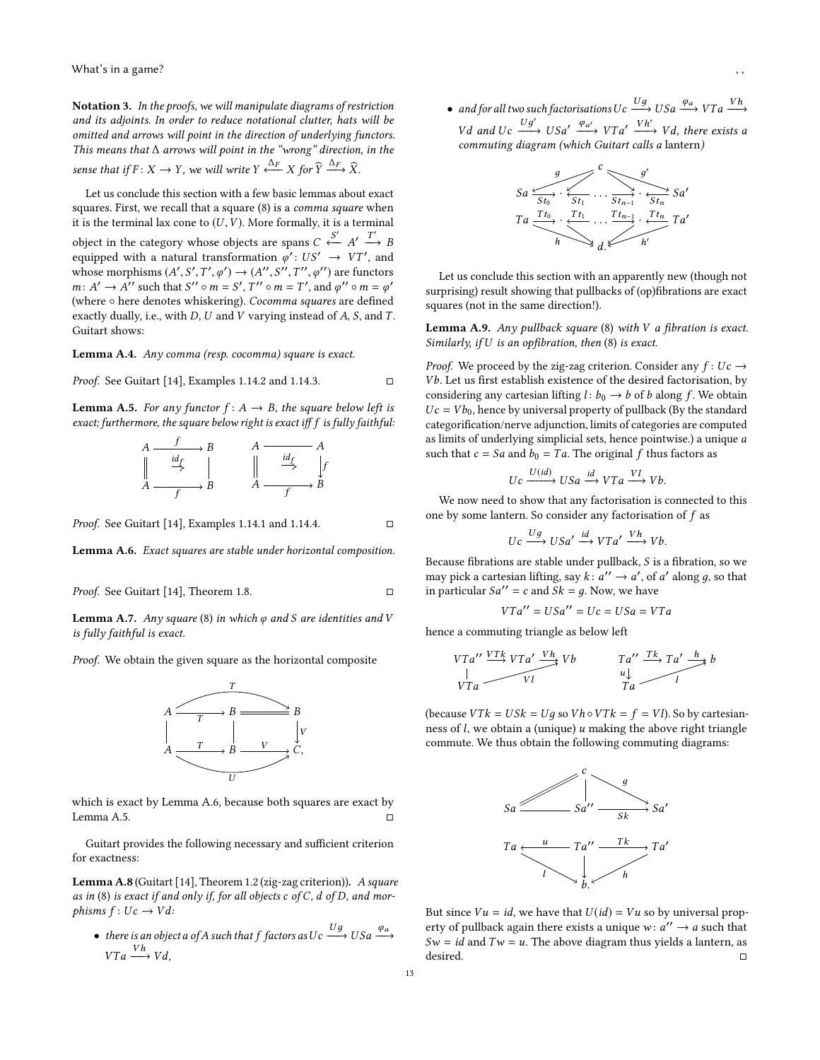Notation 3. In the proofs, we will manipulate diagrams of restriction and its adjoints. In order to reduce notational clutter, hats will be omitted and arrows will point in the direction of underlying functors. This means that ∆ arrows will point in the "wrong" direction, in the sense that if  $F: X \to Y$ , we will write  $Y \xrightarrow{\Delta_F} X$  for  $Y \xrightarrow{\Delta_F} X$ .

Let us conclude this section with a few basic lemmas about exact squares. First, we recall that a square [\(8\)](#page-11-1) is a comma square when it is the terminal lax cone to  $(U, V)$ . More formally, it is a terminal object in the category whose objects are spans  $C \leftrightarrow A' \rightarrow B$ <br>equipped with a natural transformation  $\mathscr{A}' : I.S' \rightarrow V.T'$  and equipped with a natural transformation  $\varphi' : US' \to VT'$ , and<br>whose morphisms  $(A' S' T' \varphi') \to (A'' S'' T'' \varphi'')$  are functors whose morphisms  $(A', S', T', \varphi') \rightarrow (A'', S'', T'', \varphi'')$  are functors<br>m:  $A' \rightarrow A''$  such that  $S'' \circ m = S'$   $T'' \circ m = T'$  and  $\varphi'' \circ m = \varphi'$  $m: A' \rightarrow A''$  such that  $S'' \circ m = S'$ ,  $T'' \circ m = T'$ , and  $\varphi'' \circ m = \varphi'$ <br>(where  $\circ$  here denotes whickering). Cocomma squares are defined (where ∘ here denotes whiskering). Cocomma squares are defined exactly dually, i.e., with  $D$ ,  $U$  and  $V$  varying instead of  $A$ ,  $S$ , and  $T$ . Guitart shows:

<span id="page-12-3"></span>Lemma A.4. Any comma (resp. cocomma) square is exact.

*Proof.* See Guitart [\[14\]](#page-10-15), Examples 1.14.2 and 1.14.3.  $\square$ 

<span id="page-12-1"></span>**Lemma A.5.** For any functor  $f: A \rightarrow B$ , the square below left is exact; furthermore, the square below right is exact iff f is fully faithful:

$$
A \xrightarrow{\text{if}} B \qquad A \xrightarrow{\text{if}} A
$$
\n
$$
\begin{array}{ccc}\n & \downarrow & \downarrow \\
 \parallel & \downarrow & \downarrow \\
 A \xrightarrow{\text{if}} & B \qquad A \xrightarrow{\text{if}} B\n \end{array}
$$

*Proof.* See Guitart [\[14\]](#page-10-15), Examples 1.14.1 and 1.14.4.  $\square$ 

<span id="page-12-0"></span>Lemma A.6. Exact squares are stable under horizontal composition.

*Proof.* See Guitart [14], Theorem 1.8. 
$$
\Box
$$

<span id="page-12-4"></span>**Lemma A.7.** Any square [\(8\)](#page-11-1) in which  $\varphi$  and S are identities and V is fully faithful is exact.

Proof. We obtain the given square as the horizontal composite



which is exact by Lemma [A.6,](#page-12-0) because both squares are exact by Lemma [A.5.](#page-12-1)  $\Box$ 

Guitart provides the following necessary and sufficient criterion for exactness:

Lemma A.8 (Guitart [\[14\]](#page-10-15), Theorem 1.2 (zig-zag criterion)). A square as in [\(8\)](#page-11-1) is exact if and only if, for all objects  $c$  of  $C$ ,  $d$  of  $D$ , and morphisms  $f: Uc \rightarrow Vd$ :

• there is an object a of A such that f factors as  $Uc \xrightarrow{g} USa \xrightarrow{q} Wb$  $VTa \longrightarrow Vd,$ 

• and for all two such factorisations  $Uc \xrightarrow{y \to 0} USa \xrightarrow{y \to a} VTa \xrightarrow{y \to a} VTa$ Vd and Uc  $\frac{Ug'}{U}$  USa'  $\frac{\varphi_{a'}}{U}$  VTa'  $\frac{Vh'}{U}$  Vd, there exists a<br>commuting diagram (which Guitart calls a laptern) commuting diagram (which Guitart calls a lantern)



Let us conclude this section with an apparently new (though not surprising) result showing that pullbacks of (op)fibrations are exact squares (not in the same direction!).

<span id="page-12-2"></span>**Lemma A.9.** Any pullback square  $(8)$  with V a fibration is exact. Similarly, if  $U$  is an opfibration, then  $(8)$  is exact.

*Proof.* We proceed by the zig-zag criterion. Consider any  $f: Uc \rightarrow$ Vb. Let us first establish existence of the desired factorisation, by considering any cartesian lifting  $l: b_0 \rightarrow b$  of b along f. We obtain  $Uc = Vb_0$ , hence by universal property of pullback (By the standard categorification/nerve adjunction, limits of categories are computed as limits of underlying simplicial sets, hence pointwise.) a unique a such that  $c = Sa$  and  $b_0 = Ta$ . The original f thus factors as

$$
Uc \xrightarrow{U(id)} USA \xrightarrow{id} VTa \xrightarrow{VI} Vb.
$$

We now need to show that any factorisation is connected to this one by some lantern. So consider any factorisation of  $f$  as

 $\xrightarrow{Ug} USa' \xrightarrow{id} VTa' \xrightarrow{Vh} Vb.$ 

Because fibrations are stable under pullback, S is a fibration, so we<br>may pick a cartesian lifting, say  $k: a'' \to a'$  of a' along a so that may pick a cartesian lifting, say  $k: a'' \rightarrow a'$ , of a' along g, so that<br>in particular  $Sa'' = c$  and  $Sk = a$ . Now we have in particular  $Sa'' = c$  and  $Sk = q$ . Now, we have

$$
VTa'' = USA'' = Uc = USA = VTa
$$

hence a commuting triangle as below left

$$
VTa'' \xrightarrow{VTk} VTa' \xrightarrow{Vh} Vb \qquad Ta'' \xrightarrow{Tk} Ta' \xrightarrow{h} b
$$
  
\n
$$
VTa \xrightarrow{Vl} Vl \qquad \qquad \downarrow a \qquad \qquad l
$$

(because  $VTk = USk = Ug$  so  $Vh \circ VTk = f = Vl$ ). So by cartesianness of  $l$ , we obtain a (unique)  $u$  making the above right triangle commute. We thus obtain the following commuting diagrams:



But since  $Vu = id$ , we have that  $U(id) = Vu$  so by universal property of pullback again there exists a unique  $w: a'' \rightarrow a$  such that  $S_w = id$  and  $Tw = u$ . The above diagram thus violds a lantern as  $Sw = id$  and  $Tw = u$ . The above diagram thus yields a lantern, as desired. desired. □ □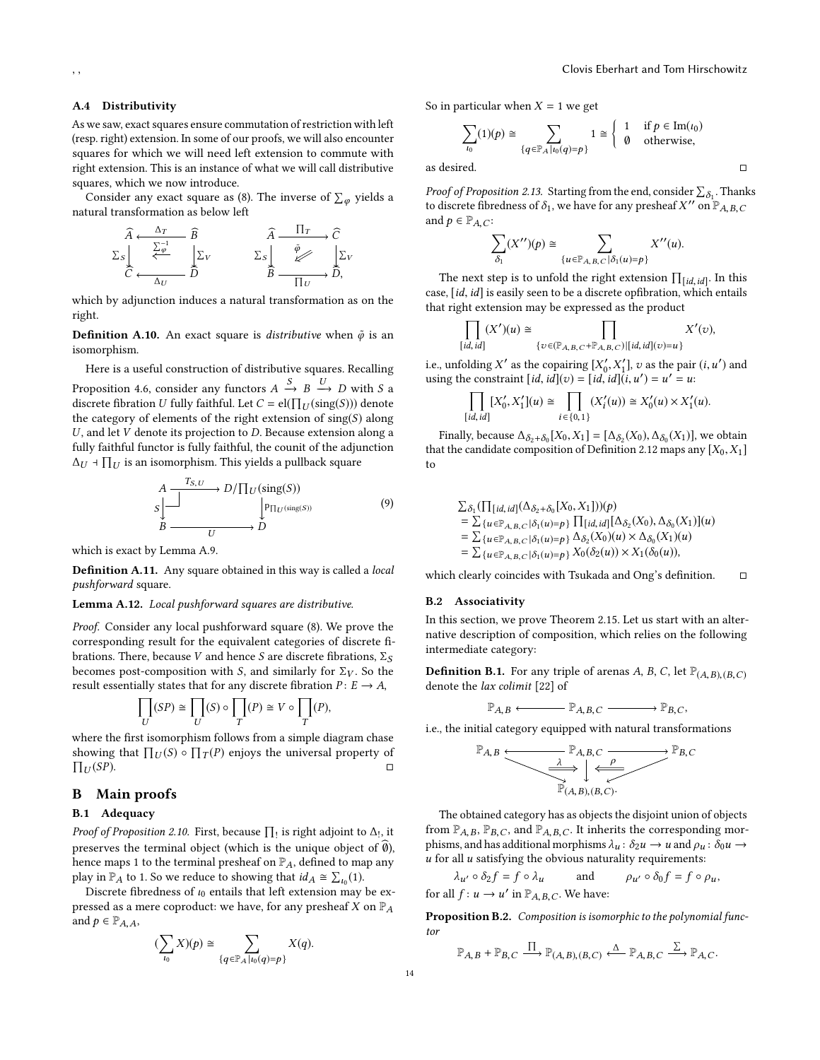# A.4 Distributivity

As we saw, exact squares ensure commutation of restriction with left (resp. right) extension. In some of our proofs, we will also encounter squares for which we will need left extension to commute with right extension. This is an instance of what we will call distributive squares, which we now introduce.

Consider any exact square as [\(8\)](#page-11-1). The inverse of  $\sum_{\varphi}$  yields a<br>tural transformation as below left natural transformation as below left

$$
\begin{array}{ccc}\n\widehat{A} & \xrightarrow{\Delta_T} & \widehat{B} & & \widehat{A} & \overline{\Pi_T} & \widehat{C} \\
\sum \downarrow & & \searrow & & \searrow \\
\sum \downarrow & & & \searrow & & \searrow \\
\widehat{C} & & & & \searrow & & \searrow \\
\hline\n\Delta_U & & & & & \stackrel{\widehat{\psi}}{B} & \xrightarrow{\widehat{\psi}} & & \searrow \\
\hline\n\Gamma_U & & & & & \stackrel{\widehat{\psi}}{D} & & \stackrel{\widehat{\psi}}{D} \\
\end{array}
$$

which by adjunction induces a natural transformation as on the right.

**Definition A.10.** An exact square is *distributive* when  $\tilde{\varphi}$  is an isomorphism.

Here is a useful construction of distributive squares. Recalling Proposition [4.6,](#page-8-0) consider any functors  $A \xrightarrow{\rightarrow} B \xrightarrow{\rightarrow} D$  with S a discrete fibration *II* fully faithful I et  $C = e[I\prod_{x'}(\sin \alpha(S)))$  denote discrete fibration U fully faithful. Let  $C = el(\prod_U(\text{sing}(S)))$  denote the category of elements of the right extension of  $\text{sing}(S)$  along the category of elements of the right extension of  $sing(S)$  along  $U$ , and let  $V$  denote its projection to  $D$ . Because extension along a fully faithful functor is fully faithful, the counit of the adjunction  $\Delta_U$  ⊣  $\prod_U$  is an isomorphism. This yields a pullback square

$$
A \xrightarrow{I_{S,U}} D/\prod_{U}(\text{sing}(S))
$$
  
\n
$$
B \xrightarrow{p} D
$$
  
\n
$$
B \xrightarrow{U} D
$$
  
\n(9)

which is exact by Lemma [A.9.](#page-12-2)

**Definition A.11.** Any square obtained in this way is called a *local* pushforward square.

#### <span id="page-13-2"></span>Lemma A.12. Local pushforward squares are distributive.

Proof. Consider any local pushforward square [\(8\)](#page-11-1). We prove the corresponding result for the equivalent categories of discrete fibrations. There, because V and hence S are discrete fibrations,  $\Sigma_S$ becomes post-composition with S, and similarly for  $\Sigma_V$ . So the result essentially states that for any discrete fibration  $P: E \to A$ ,

$$
\prod_{U}(SP) \cong \prod_{U}(S) \circ \prod_{T}(P) \cong V \circ \prod_{T}(P),
$$

where the first isomorphism follows from a simple diagram chase showing that  $\prod_U(S) \circ \prod_T(P)$  enjoys the universal property of  $\Pi_{\text{tr}}(SP)$  $\Pi_U$ (SP).  $U(SP)$ .

# B Main proofs

### <span id="page-13-0"></span>B.1 Adequacy

*Proof of Proposition [2.10.](#page-3-6)* First, because  $\prod_1$  is right adjoint to  $\Delta_1$ , it assumes that the number of  $\widehat{\mathbf{a}}$ . preserves the terminal object (which is the unique object of  $\emptyset$ ), hence maps 1 to the terminal presheaf on  $\mathbb{P}_A$ , defined to map any play in  $\mathbb{P}_A$  to 1. So we reduce to showing that  $id_A \cong \sum_{l_0}(1)$ .<br>Discrete fibredness of  $l_0$  entails that left extension may

left in the fibre of the contract of the may be ex-<br>Discrete fibredness of  $\iota_0$  entails that left extension may be ex-<br>sesed as a mere conreduct: we have for any prechect Y on  $\mathbb{P}_t$ . pressed as a mere coproduct: we have, for any presheaf X on  $\mathbb{P}_A$ and  $p \in \mathbb{P}_{A, A}$ ,

$$
(\sum_{\iota_0} X)(p) \cong \sum_{\{q \in \mathbb{P}_A \mid \iota_0(q) = p\}} X(q).
$$

So in particular when  $X = 1$  we get

$$
\sum_{t_0}(1)(p) \cong \sum_{\{q \in \mathbb{P}_A | t_0(q) = p\}} 1 \cong \begin{cases} 1 & \text{if } p \in \text{Im}(t_0) \\ \emptyset & \text{otherwise,} \end{cases}
$$
\nas desired.

*Proof of Proposition [2.13.](#page-3-7)* Starting from the end, consider  $\sum_{\delta_1}$ . Thanks  $\sum_{i=1}^{n} \sum_{j=1}^{n} \sum_{i=1}^{n} \sum_{j=1}^{n} \sum_{j=1}^{n} \sum_{j=1}^{n} \sum_{j=1}^{n} \sum_{j=1}^{n} \sum_{j=1}^{n} \sum_{j=1}^{n} \sum_{j=1}^{n} \sum_{j=1}^{n} \sum_{j=1}^{n} \sum_{j=1}^{n} \sum_{j=1}^{n} \sum_{j=1}^{n} \sum_{j=1}^{n} \sum_{j=1}^{n} \sum_{j=1}^{n} \sum_{j=1}^{n} \sum_{j=1}^{n} \sum_{j=1}^{n}$ and  $p \in \mathbb{P}_{A,C}$ :

$$
\sum_{\delta_1} (X^{\prime\prime})(p) \cong \sum_{\{u \in \mathbb{P}_{A,B,C} \mid \delta_1(u) = p\}} X^{\prime\prime}(u).
$$

The next step is to unfold the right extension  $\prod_{[id, id]}$ . In this is a saily seen to be a discrete optibration which entails case, [id, id] is easily seen to be a discrete opfibration, which entails that right extension may be expressed as the product

$$
\prod_{[id, id]} (X')(u) \cong \prod_{\{v \in (\mathbb{P}_{A,B,C} + \mathbb{P}_{A,B,C}) | [id, id](v) = u\}} X'(v),
$$

i.e., unfolding X' as the copairing  $[X'_0, X'_1]$ , v as the pair  $(i, u')$  and using the constraint  $(id, id)(u) - [id, id](i, u') - u' - u$ .  $\lim_{u \to \infty} \lim_{u \to \infty} \lim_{u \to \infty} \frac{\lim_{u \to \infty} \lim_{u \to \infty} \lim_{u \to \infty} \lim_{u \to \infty} \lim_{u \to \infty} \lim_{u \to \infty} \lim_{u \to \infty} \lim_{u \to \infty} \lim_{u \to \infty} \lim_{u \to \infty} \lim_{u \to \infty} \lim_{u \to \infty} \lim_{u \to \infty} \lim_{u \to \infty} \lim_{u \to \infty} \lim_{u \to \infty} \lim_{u \to \infty} \lim_{u \to \infty} \lim_{u \to \in$ 

$$
\prod_{[id, id]} [X'_0, X'_1](u) \cong \prod_{i \in \{0, 1\}} (X'_i(u)) \cong X'_0(u) \times X'_1(u).
$$

Finally, because  $\Delta_{\delta_2+\delta_0}[X_0,X_1] = [\Delta_{\delta_2}(X_0), \Delta_{\delta_0}(X_1)]$ , we obtain that the candidate composition of Definition [2.12](#page-3-8) maps any  $[X_0, X_1]$ to

$$
\Sigma_{\delta_1}(\prod_{[id, id]}(\Delta_{\delta_2+\delta_0}[X_0, X_1]))(p) \n= \Sigma_{\{u \in \mathbb{P}_{A,B,C} | \delta_1(u) = p\}} \prod_{[id, id]} \Delta_{\delta_2}(X_0), \Delta_{\delta_0}(X_1)](u) \n= \Sigma_{\{u \in \mathbb{P}_{A,B,C} | \delta_1(u) = p\}} \Delta_{\delta_2}(X_0)(u) \times \Delta_{\delta_0}(X_1)(u) \n= \Sigma_{\{u \in \mathbb{P}_{A,B,C} | \delta_1(u) = p\}} X_0(\delta_2(u)) \times X_1(\delta_0(u)),
$$

which clearly coincides with Tsukada and Ong's definition.  $□$ 

# <span id="page-13-1"></span>B.2 Associativity

In this section, we prove Theorem [2.15.](#page-3-3) Let us start with an alternative description of composition, which relies on the following intermediate category:

<span id="page-13-3"></span>**Definition B.1.** For any triple of arenas A, B, C, let  $\mathbb{P}_{(A,B),(B,C)}$ denote the lax colimit [\[22\]](#page-10-39) of

$$
\mathbb{P}_{A,B} \longleftarrow \mathbb{P}_{A,B,C} \longrightarrow \mathbb{P}_{B,C},
$$

i.e., the initial category equipped with natural transformations

$$
\mathbb{P}_{A,B} \xrightarrow{\mathbb{P}_{A,B,C}} \mathbb{P}_{A,B,C} \xrightarrow{\lambda} \mathbb{P}_{B,C}
$$
  

$$
\mathbb{P}_{(A,B),(B,C)} \xrightarrow{\rho} \mathbb{P}_{B,C}
$$

The obtained category has as objects the disjoint union of objects from  $\mathbb{P}_{A,B}$ ,  $\mathbb{P}_{B,C}$ , and  $\mathbb{P}_{A,B,C}$ . It inherits the corresponding morphisms, and has additional morphisms  $\lambda_{u} \colon \delta_{2}u \to u$  and  $\rho_{u} \colon \delta_{0}u \to$  $u$  for all  $u$  satisfying the obvious naturality requirements:

$$
\lambda_{u'} \circ \delta_2 f = f \circ \lambda_u
$$
 and  $\rho_{u'} \circ \delta_0 f = f \circ \rho_u$ ,  
for all  $f: u \to u'$  in  $\mathbb{P}_{A,B,C}$ . We have:

<span id="page-13-4"></span>Proposition B.2. Composition is isomorphic to the polynomial functor

$$
\mathbb{P}_{A,B} + \mathbb{P}_{B,C} \xrightarrow{\prod} \mathbb{P}_{(A,B),(B,C)} \xleftarrow{\Delta} \mathbb{P}_{A,B,C} \xrightarrow{\sum} \mathbb{P}_{A,C}.
$$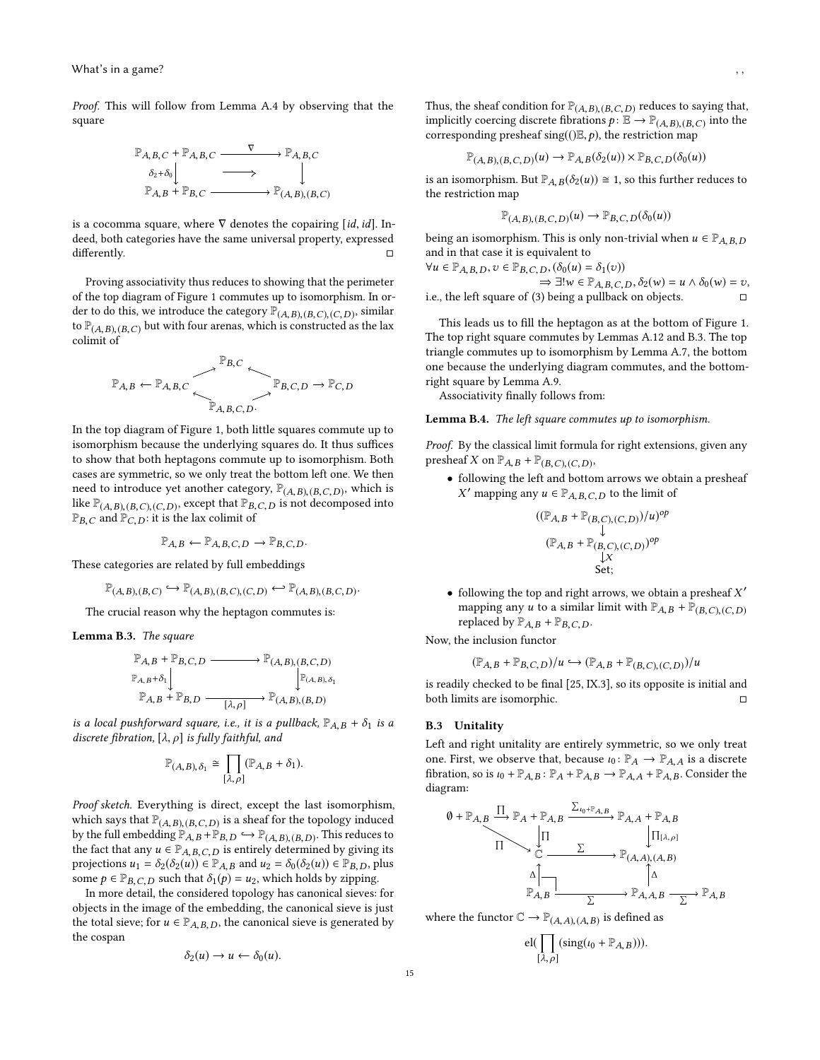Proof. This will follow from Lemma [A.4](#page-12-3) by observing that the square

$$
\mathbb{P}_{A,B,C} + \mathbb{P}_{A,B,C} \xrightarrow{\nabla} \mathbb{P}_{A,B,C}
$$
\n
$$
\delta_2 + \delta_0 \downarrow \xrightarrow{\nabla} \Box \longrightarrow \mathbb{P}_{A,B,C}
$$
\n
$$
\mathbb{P}_{A,B} + \mathbb{P}_{B,C} \xrightarrow{\nabla} \mathbb{P}_{(A,B),(B,C)}
$$

is a cocomma square, where  $\nabla$  denotes the copairing [id, id]. Indeed, both categories have the same universal property, expressed differently. □

Proving associativity thus reduces to showing that the perimeter of the top diagram of Figure [1](#page-15-1) commutes up to isomorphism. In order to do this, we introduce the category  $\mathbb{P}_{(A,B),(B,C),(C,D)}$ , similar<br>to  $\mathbb{P}_{(A,B),(B,C)}$  but with four arenas, which is constructed as the lay to  $\mathbb{P}_{(A,B),(B,C)}$  but with four arenas, which is constructed as the lax colimit of

$$
\mathbb{P}_{A,B} \leftarrow \mathbb{P}_{A,B,C} \xrightarrow{\mathbb{P}_{B,C}} \mathbb{P}_{B,C,D} \rightarrow \mathbb{P}_{C,D}
$$

In the top diagram of Figure [1,](#page-15-1) both little squares commute up to isomorphism because the underlying squares do. It thus suffices to show that both heptagons commute up to isomorphism. Both cases are symmetric, so we only treat the bottom left one. We then need to introduce yet another category,  $\mathbb{P}_{(A,B),(B,C,D)}$ , which is like  $\mathbb{P}_{(A,B),(B,C),(C,D)}$ , except that  $\mathbb{P}_{B,C,D}$  is not decomposed into  $\mathbb{P}_{B,C}$  and  $\mathbb{P}_{C,D}$ : it is the lax colimit of

 $\mathbb{P}_{A,B} \leftarrow \mathbb{P}_{A,B,C,D} \rightarrow \mathbb{P}_{B,C,D}$ .

These categories are related by full embeddings

$$
\mathbb{P}_{(A,B),(B,C)} \hookrightarrow \mathbb{P}_{(A,B),(B,C),(C,D)} \hookleftarrow \mathbb{P}_{(A,B),(B,C,D)}.
$$

The crucial reason why the heptagon commutes is:

<span id="page-14-0"></span>Lemma B.3. The square

$$
\begin{array}{ccc}\n\mathbb{P}_{A,B} + \mathbb{P}_{B,C,D} & \xrightarrow{\quad} \mathbb{P}_{(A,B),(B,C,D)} \\
\mathbb{P}_{A,B} + \delta_1 \Big\downarrow & & \mathbb{P}_{(A,B),\delta_1} \\
\mathbb{P}_{A,B} + \mathbb{P}_{B,D} & \xrightarrow{[{\lambda},\rho]}\n\end{array}
$$

is a local pushforward square, i.e., it is a pullback,  $\mathbb{P}_{A,B} + \delta_1$  is a discrete fibration,  $[\lambda, \rho]$  is fully faithful, and

$$
\mathbb{P}_{(A,B),\delta_1} \cong \prod_{[\lambda,\rho]} (\mathbb{P}_{A,B} + \delta_1).
$$

Proof sketch. Everything is direct, except the last isomorphism, which says that  $\mathbb{P}_{(A,B),(B,C,D)}$  is a sheaf for the topology induced<br>by the full embedding  $\mathbb{P}_{(A,B),D} \hookrightarrow \mathbb{P}_{(A,B),D,D}$ . This reduces to by the full embedding  $\mathbb{P}_{A,B} + \mathbb{P}_{B,D} \hookrightarrow \mathbb{P}_{(A,B),(B,D)}$ . This reduces to the fact that any  $u \in \mathbb{P}_{A,B,C,D}$  is entirely determined by giving its the fact that any  $u \in \mathbb{P}_{A,B,C,D}$  is entirely determined by giving its projections  $u_1 = \delta_2(\delta_2(u)) \in \mathbb{P}_{A,B}$  and  $u_2 = \delta_0(\delta_2(u)) \in \mathbb{P}_{B,D}$ , plus some  $p \in \mathbb{P}_{B,C,D}$  such that  $\delta_1(p) = u_2$ , which holds by zipping.

In more detail, the considered topology has canonical sieves: for objects in the image of the embedding, the canonical sieve is just the total sieve; for  $u \in \mathbb{P}_{A,B,D}$ , the canonical sieve is generated by the cospan

$$
\delta_2(u)\to u\leftarrow \delta_0(u).
$$

Thus, the sheaf condition for  $\mathbb{P}_{(A,B),(B,C,D)}$  reduces to saying that,<br>implicitly coercing discrete fibrations  $\mathbf{a} \colon \mathbb{F} \to \mathbb{P}_{(A,B),(B,C)}$  into the implicitly coercing discrete fibrations  $p: \mathbb{E} \to \mathbb{P}_{(A,B),(B,C)}$  into the<br>corresponding presheaf  $\text{sing}(\theta | B, a)$  the restriction map corresponding presheaf sing( $(\mathcal{E}, p)$ , the restriction map

$$
\mathbb{P}_{(A,B),(B,C,D)}(u) \to \mathbb{P}_{A,B}(\delta_2(u)) \times \mathbb{P}_{B,C,D}(\delta_0(u))
$$

is an isomorphism. But  $\mathbb{P}_{A,B}(\delta_2(u)) \cong 1$ , so this further reduces to the restriction map

$$
\mathbb{P}_{(A,B),(B,C,D)}(u) \to \mathbb{P}_{B,C,D}(\delta_0(u))
$$

being an isomorphism. This is only non-trivial when  $u \in \mathbb{P}_{A,B,D}$ and in that case it is equivalent to

 $\forall u \in \mathbb{P}_{A,B,D}, v \in \mathbb{P}_{B,C,D}, (\delta_0(u) = \delta_1(v))$  $\Rightarrow \exists! w \in \mathbb{P}_{A,B,C,D}, \delta_2(w) = u \wedge \delta_0(w) = v,$ i.e., the left square of  $(3)$  being a pullback on objects.

This leads us to fill the heptagon as at the bottom of Figure [1.](#page-15-1) The top right square commutes by Lemmas [A.12](#page-13-2) and [B.3.](#page-14-0) The top triangle commutes up to isomorphism by Lemma [A.7,](#page-12-4) the bottom one because the underlying diagram commutes, and the bottomright square by Lemma [A.9.](#page-12-2)

Associativity finally follows from:

Lemma B.4. The left square commutes up to isomorphism.

Proof. By the classical limit formula for right extensions, given any presheaf X on  $\mathbb{P}_{A,B} + \mathbb{P}_{(B,C),(C,D)}$ ,

• following the left and bottom arrows we obtain a presheaf X' mapping any  $u \in \mathbb{P}_{A,B,C,D}$  to the limit of

$$
((\mathbb{P}_{A,B} + \mathbb{P}_{(B,C),(C,D)})/u)^{op}
$$
  

$$
(\mathbb{P}_{A,B} + \mathbb{P}_{(B,C),(C,D)})^{op}
$$
  

$$
\downarrow X
$$
  
Set;

• following the top and right arrows, we obtain a presheaf X'<br>manning any  $\mu$  to a similar limit with  $\mathbb{P}_{\lambda}$ ,  $\mu + \mathbb{P}_{\lambda}$  and  $\alpha$  and mapping any *u* to a similar limit with  $\mathbb{P}_{A,B} + \mathbb{P}_{(B,C),(C,D)}$ replaced by  $\mathbb{P}_{A,B} + \mathbb{P}_{B,C,D}$ .

Now, the inclusion functor

$$
(\mathbb{P}_{A,B} + \mathbb{P}_{B,C,D})/u \hookrightarrow (\mathbb{P}_{A,B} + \mathbb{P}_{(B,C),(C,D)})/u
$$

is readily checked to be final [\[25,](#page-10-21) IX.3], so its opposite is initial and both limits are isomorphic.  $\hfill \Box$ 

## B.3 Unitality

Left and right unitality are entirely symmetric, so we only treat one. First, we observe that, because  $\iota_0: \mathbb{P}_A \to \mathbb{P}_{A,A}$  is a discrete fibration, so is  $\iota_0 + \mathbb{P}_{A,B}$ :  $\mathbb{P}_A + \mathbb{P}_{A,B} \to \mathbb{P}_{A,A} + \mathbb{P}_{A,B}$ . Consider the diagram:

<sup>∅</sup> <sup>+</sup> <sup>P</sup>A,B <sup>P</sup>A <sup>+</sup> <sup>P</sup>A,B <sup>P</sup>A,A <sup>+</sup> <sup>P</sup>A,B <sup>C</sup> <sup>P</sup>(A,A),(A,B) PA,B <sup>P</sup>A,A,B <sup>P</sup>A,B Î Î Í <sup>ι</sup>0+PA,B Î Í Î [λ,ρ] Í Í

where the functor  $\mathbb{C} \to \mathbb{P}_{(A, A), (A, B)}$  is defined as

$$
\mathrm{el}(\prod_{[\lambda,\,\rho]}(\mathrm{sing}(\iota_0+\mathbb{P}_{A,\,B}))).
$$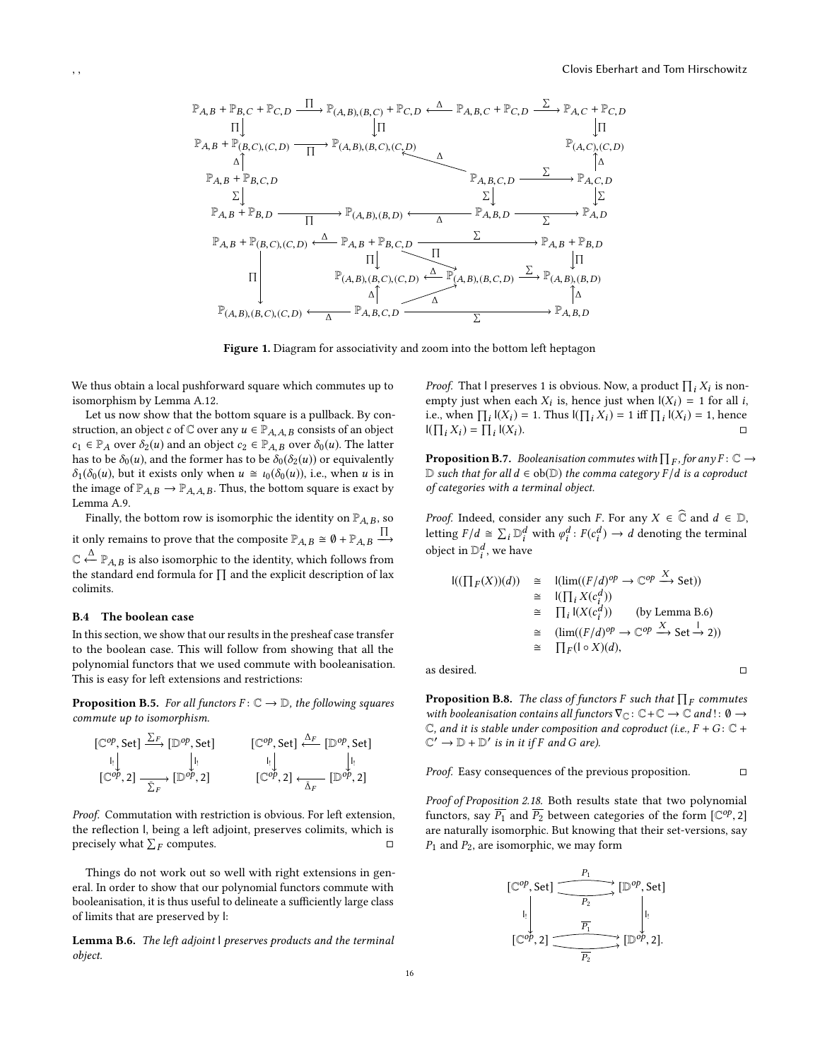<span id="page-15-1"></span>

Figure 1. Diagram for associativity and zoom into the bottom left heptagon

We thus obtain a local pushforward square which commutes up to isomorphism by Lemma [A.12.](#page-13-2)

Let us now show that the bottom square is a pullback. By construction, an object c of  $\mathbb C$  over any  $u \in \mathbb P_{A,A,B}$  consists of an object  $c_1 \in \mathbb{P}_A$  over  $\delta_2(u)$  and an object  $c_2 \in \mathbb{P}_{A,B}$  over  $\delta_0(u)$ . The latter has to be  $\delta_0(u)$ , and the former has to be  $\delta_0(\delta_2(u))$  or equivalently  $\delta_1(\delta_0(u))$ , but it exists only when  $u \cong \iota_0(\delta_0(u))$ , i.e., when u is in the image of  $\mathbb{P}_{A,B} \to \mathbb{P}_{A,A,B}$ . Thus, the bottom square is exact by Lemma [A.9.](#page-12-2)

Finally, the bottom row is isomorphic the identity on  $\mathbb{P}_{A,B}$ , so it only remains to prove that the composite  $\mathbb{P}_{A,B} \cong \emptyset + \mathbb{P}_{A,B} \xrightarrow{\prod_{\Lambda}}$  $\mathbb{C} \stackrel{\triangle}{\leftarrow} \mathbb{P}_{A,B}$  is also isomorphic to the identity, which follows from<br>the standard and formula for  $\Pi$  and the evalicit description of lax the standard end formula for  $\prod$  and the explicit description of lax colimits.

# <span id="page-15-0"></span>B.4 The boolean case

 $\overline{a}$ 

In this section, we show that our results in the presheaf case transfer to the boolean case. This will follow from showing that all the polynomial functors that we used commute with booleanisation. This is easy for left extensions and restrictions:

<span id="page-15-3"></span>**Proposition B.5.** For all functors  $F: \mathbb{C} \to \mathbb{D}$ , the following squares commute up to isomorphism.

$$
\begin{array}{ccc}\n[\mathbb{C}^{op}, \text{Set}] & \xrightarrow{\Delta_F} [\mathbb{D}^{op}, \text{Set}] & [\mathbb{C}^{op}, \text{Set}] & \xrightarrow[\cdot] & [\cdot] & [\cdot] & [\cdot] \\
[\mathbb{C}^{op}, 2] & \xrightarrow[\sum_F] & [\mathbb{D}^{op}, 2] & [\mathbb{C}^{op}, 2] & \xrightarrow[\Delta_F] & [\mathbb{D}^{op}, 2]\n\end{array}
$$

Proof. Commutation with restriction is obvious. For left extension, the reflection l, being a left adjoint, preserves colimits, which is precisely what  $\sum_F$  computes.  $\Box$ 

Things do not work out so well with right extensions in general. In order to show that our polynomial functors commute with booleanisation, it is thus useful to delineate a sufficiently large class of limits that are preserved by l:

<span id="page-15-2"></span>Lemma B.6. The left adjoint I preserves products and the terminal object.

*Proof.* That I preserves 1 is obvious. Now, a product  $\prod_i X_i$  is nonempty just when each  $X_i$  is, hence just when  $|(X_i) = 1$  for all i, i.e., when  $\Pi_x | (X_i) = 1$ . Thus  $|(\Pi_x, X_i) = 1$  iff  $\Pi_x | (X_i) = 1$ , hence i.e., when  $\prod_i |(X_i) = 1$ . Thus  $|(\prod_i X_i) = 1$  iff  $\prod_i |(X_i) = 1$ , hence  $I(\prod_i X_i) = \prod$  $I(X_i)$ .

**Proposition B.7.** Booleanisation commutes with  $\prod_F$ , for any  $F: \mathbb{C} \to \mathbb{D}$  such that for all  $d \in \text{ob}(\mathbb{D})$  the comma category  $F/d$  is a coproduct. D such that for all  $d \in ob(\mathbb{D})$  the comma category  $F/d$  is a coproduct of categories with a terminal object of categories with a terminal object.

*Proof.* Indeed, consider any such F. For any  $X \in \mathbb{C}$  and  $d \in \mathbb{D}$ , letting  $F/d \cong \sum_i \mathbb{D}_i^d$  with  $\varphi_i^d : F(c_i^d) \to d$  denoting the terminal object in  $\mathbb{D}^d$  we have object in  $\mathbb{D}_i^d$ , we have

$$
\begin{array}{rcl}\n\text{I}((\prod_F(X))(d)) &\cong & \text{I}(\lim((F/d)^{op} \to \mathbb{C}^{op} \xrightarrow{\mathcal{A}} \text{Set})) \\
&\cong & \text{I}(\prod_i X(c_i^d)) \\
&\cong & \prod_i \text{I}(X(c_i^d)) \qquad \text{(by Lemma B.6)} \\
&\cong & (\lim((F/d)^{op} \to \mathbb{C}^{op} \xrightarrow{X} \text{Set} \xrightarrow{1} 2)) \\
&\cong & \prod_F(\text{I} \circ X)(d),\n\end{array}
$$

as desired.  $\Box$ 

<span id="page-15-4"></span>**Proposition B.8.** The class of functors F such that  $\prod_F$  commutes<br>with booleanisation contains all functors  $\nabla a: C + C \to C$  and  $\vdots$   $0 \to$ with booleanisation contains all functors  $\nabla_{\mathbb{C}} \colon \mathbb{C} + \mathbb{C} \to \mathbb{C}$  and  $\colon \emptyset \to$  $\mathbb C$ , and it is stable under composition and coproduct (i.e.,  $F + G \colon \mathbb C +$  $\mathbb{C}' \to \mathbb{D} + \mathbb{D}'$  is in it if F and G are).

Proof. Easy consequences of the previous proposition. □

Proof of Proposition [2.18.](#page-4-2) Both results state that two polynomial functors, say  $\overline{P_1}$  and  $\overline{P_2}$  between categories of the form  $\left[\mathbb{C}^{op}, 2\right]$ are naturally isomorphic. But knowing that their set-versions, say  $P_1$  and  $P_2$ , are isomorphic, we may form